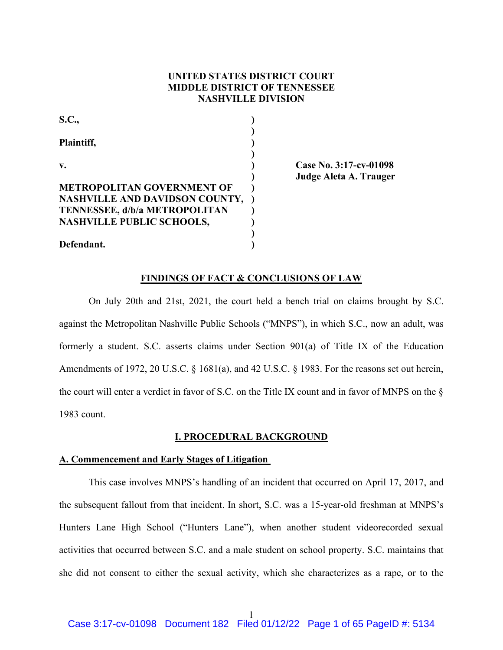# **UNITED STATES DISTRICT COURT MIDDLE DISTRICT OF TENNESSEE NASHVILLE DIVISION**

| <b>S.C.,</b>                          |  |
|---------------------------------------|--|
| Plaintiff,                            |  |
| $\mathbf{v}$ .                        |  |
| <b>METROPOLITAN GOVERNMENT OF</b>     |  |
| <b>NASHVILLE AND DAVIDSON COUNTY,</b> |  |
| <b>TENNESSEE, d/b/a METROPOLITAN</b>  |  |
| <b>NASHVILLE PUBLIC SCHOOLS,</b>      |  |
| Defendant.                            |  |

**v. ) Case No. 3:17-cv-01098 ) Judge Aleta A. Trauger**

### **FINDINGS OF FACT & CONCLUSIONS OF LAW**

On July 20th and 21st, 2021, the court held a bench trial on claims brought by S.C. against the Metropolitan Nashville Public Schools ("MNPS"), in which S.C., now an adult, was formerly a student. S.C. asserts claims under Section 901(a) of Title IX of the Education Amendments of 1972, 20 U.S.C. § 1681(a), and 42 U.S.C. § 1983. For the reasons set out herein, the court will enter a verdict in favor of S.C. on the Title IX count and in favor of MNPS on the § 1983 count.

### **I. PROCEDURAL BACKGROUND**

# **A. Commencement and Early Stages of Litigation**

This case involves MNPS's handling of an incident that occurred on April 17, 2017, and the subsequent fallout from that incident. In short, S.C. was a 15-year-old freshman at MNPS's Hunters Lane High School ("Hunters Lane"), when another student videorecorded sexual activities that occurred between S.C. and a male student on school property. S.C. maintains that she did not consent to either the sexual activity, which she characterizes as a rape, or to the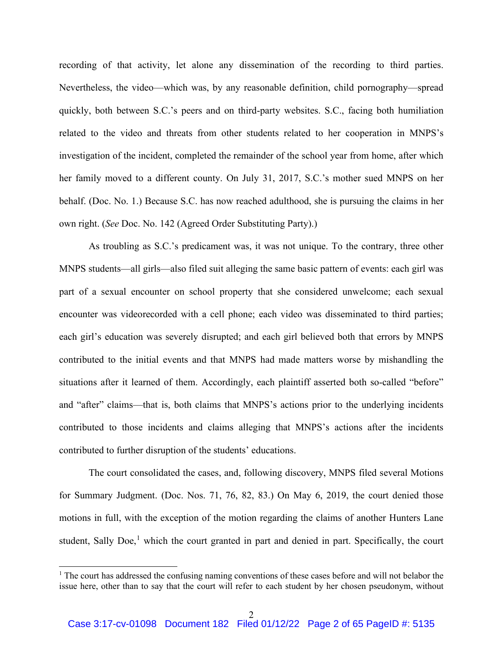recording of that activity, let alone any dissemination of the recording to third parties. Nevertheless, the video—which was, by any reasonable definition, child pornography—spread quickly, both between S.C.'s peers and on third-party websites. S.C., facing both humiliation related to the video and threats from other students related to her cooperation in MNPS's investigation of the incident, completed the remainder of the school year from home, after which her family moved to a different county. On July 31, 2017, S.C.'s mother sued MNPS on her behalf. (Doc. No. 1.) Because S.C. has now reached adulthood, she is pursuing the claims in her own right. (*See* Doc. No. 142 (Agreed Order Substituting Party).)

As troubling as S.C.'s predicament was, it was not unique. To the contrary, three other MNPS students—all girls—also filed suit alleging the same basic pattern of events: each girl was part of a sexual encounter on school property that she considered unwelcome; each sexual encounter was videorecorded with a cell phone; each video was disseminated to third parties; each girl's education was severely disrupted; and each girl believed both that errors by MNPS contributed to the initial events and that MNPS had made matters worse by mishandling the situations after it learned of them. Accordingly, each plaintiff asserted both so-called "before" and "after" claims—that is, both claims that MNPS's actions prior to the underlying incidents contributed to those incidents and claims alleging that MNPS's actions after the incidents contributed to further disruption of the students' educations.

The court consolidated the cases, and, following discovery, MNPS filed several Motions for Summary Judgment. (Doc. Nos. 71, 76, 82, 83.) On May 6, 2019, the court denied those motions in full, with the exception of the motion regarding the claims of another Hunters Lane student, Sally Doe,<sup>1</sup> which the court granted in part and denied in part. Specifically, the court

 $1$ . The court has addressed the confusing naming conventions of these cases before and will not belabor the issue here, other than to say that the court will refer to each student by her chosen pseudonym, without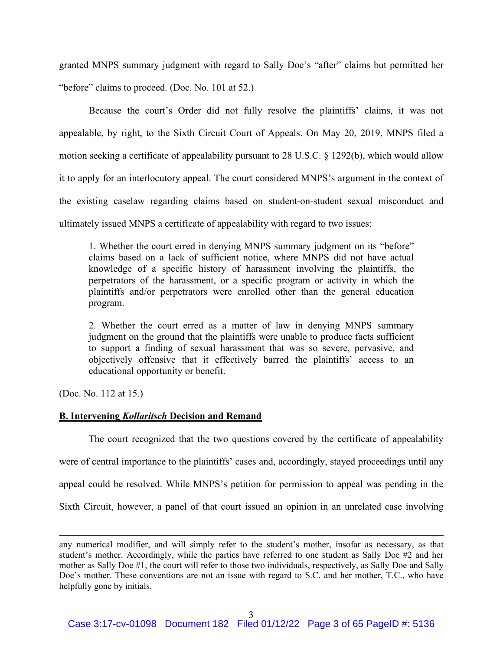granted MNPS summary judgment with regard to Sally Doe's "after" claims but permitted her "before" claims to proceed. (Doc. No. 101 at 52.)

Because the court's Order did not fully resolve the plaintiffs' claims, it was not appealable, by right, to the Sixth Circuit Court of Appeals. On May 20, 2019, MNPS filed a motion seeking a certificate of appealability pursuant to 28 U.S.C. § 1292(b), which would allow it to apply for an interlocutory appeal. The court considered MNPS's argument in the context of the existing caselaw regarding claims based on student-on-student sexual misconduct and ultimately issued MNPS a certificate of appealability with regard to two issues:

1. Whether the court erred in denying MNPS summary judgment on its "before" claims based on a lack of sufficient notice, where MNPS did not have actual knowledge of a specific history of harassment involving the plaintiffs, the perpetrators of the harassment, or a specific program or activity in which the plaintiffs and/or perpetrators were enrolled other than the general education program.

2. Whether the court erred as a matter of law in denying MNPS summary judgment on the ground that the plaintiffs were unable to produce facts sufficient to support a finding of sexual harassment that was so severe, pervasive, and objectively offensive that it effectively barred the plaintiffs' access to an educational opportunity or benefit.

(Doc. No. 112 at 15.)

### **B. Intervening** *Kollaritsch* **Decision and Remand**

The court recognized that the two questions covered by the certificate of appealability were of central importance to the plaintiffs' cases and, accordingly, stayed proceedings until any appeal could be resolved. While MNPS's petition for permission to appeal was pending in the Sixth Circuit, however, a panel of that court issued an opinion in an unrelated case involving

any numerical modifier, and will simply refer to the student's mother, insofar as necessary, as that student's mother. Accordingly, while the parties have referred to one student as Sally Doe #2 and her mother as Sally Doe #1, the court will refer to those two individuals, respectively, as Sally Doe and Sally Doe's mother. These conventions are not an issue with regard to S.C. and her mother, T.C., who have helpfully gone by initials.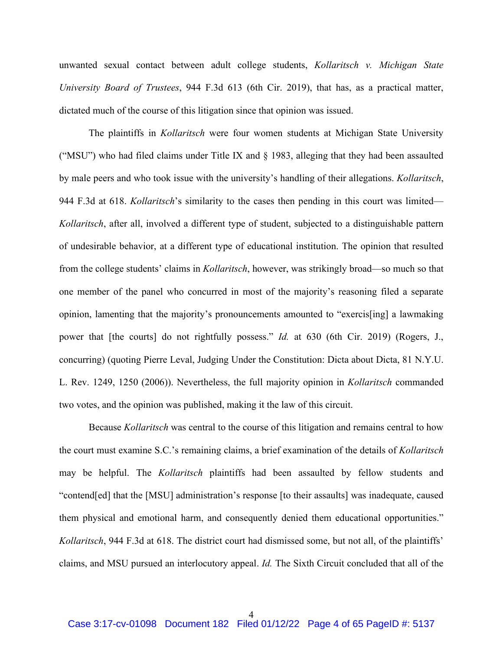unwanted sexual contact between adult college students, *Kollaritsch v. Michigan State University Board of Trustees*, 944 F.3d 613 (6th Cir. 2019), that has, as a practical matter, dictated much of the course of this litigation since that opinion was issued.

The plaintiffs in *Kollaritsch* were four women students at Michigan State University ("MSU") who had filed claims under Title IX and § 1983, alleging that they had been assaulted by male peers and who took issue with the university's handling of their allegations. *Kollaritsch*, 944 F.3d at 618. *Kollaritsch*'s similarity to the cases then pending in this court was limited— *Kollaritsch*, after all, involved a different type of student, subjected to a distinguishable pattern of undesirable behavior, at a different type of educational institution. The opinion that resulted from the college students' claims in *Kollaritsch*, however, was strikingly broad—so much so that one member of the panel who concurred in most of the majority's reasoning filed a separate opinion, lamenting that the majority's pronouncements amounted to "exercis[ing] a lawmaking power that [the courts] do not rightfully possess." *Id.* at 630 (6th Cir. 2019) (Rogers, J., concurring) (quoting Pierre Leval, Judging Under the Constitution: Dicta about Dicta, 81 N.Y.U. L. Rev. 1249, 1250 (2006)). Nevertheless, the full majority opinion in *Kollaritsch* commanded two votes, and the opinion was published, making it the law of this circuit.

Because *Kollaritsch* was central to the course of this litigation and remains central to how the court must examine S.C.'s remaining claims, a brief examination of the details of *Kollaritsch* may be helpful. The *Kollaritsch* plaintiffs had been assaulted by fellow students and "contend[ed] that the [MSU] administration's response [to their assaults] was inadequate, caused them physical and emotional harm, and consequently denied them educational opportunities." *Kollaritsch*, 944 F.3d at 618. The district court had dismissed some, but not all, of the plaintiffs' claims, and MSU pursued an interlocutory appeal. *Id.* The Sixth Circuit concluded that all of the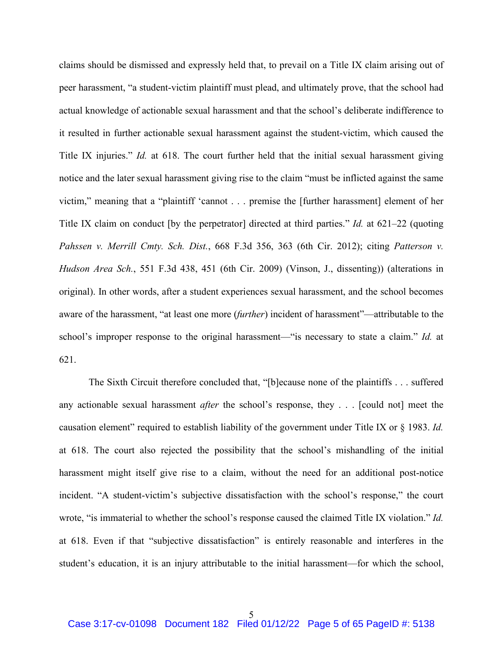claims should be dismissed and expressly held that, to prevail on a Title IX claim arising out of peer harassment, "a student-victim plaintiff must plead, and ultimately prove, that the school had actual knowledge of actionable sexual harassment and that the school's deliberate indifference to it resulted in further actionable sexual harassment against the student-victim, which caused the Title IX injuries." *Id.* at 618. The court further held that the initial sexual harassment giving notice and the later sexual harassment giving rise to the claim "must be inflicted against the same victim," meaning that a "plaintiff 'cannot . . . premise the [further harassment] element of her Title IX claim on conduct [by the perpetrator] directed at third parties." *Id.* at 621–22 (quoting *Pahssen v. Merrill Cmty. Sch. Dist.*, 668 F.3d 356, 363 (6th Cir. 2012); citing *Patterson v. Hudson Area Sch.*, 551 F.3d 438, 451 (6th Cir. 2009) (Vinson, J., dissenting)) (alterations in original). In other words, after a student experiences sexual harassment, and the school becomes aware of the harassment, "at least one more (*further*) incident of harassment"—attributable to the school's improper response to the original harassment—"is necessary to state a claim." *Id.* at 621.

The Sixth Circuit therefore concluded that, "[b]ecause none of the plaintiffs . . . suffered any actionable sexual harassment *after* the school's response, they . . . [could not] meet the causation element" required to establish liability of the government under Title IX or § 1983. *Id.* at 618. The court also rejected the possibility that the school's mishandling of the initial harassment might itself give rise to a claim, without the need for an additional post-notice incident. "A student-victim's subjective dissatisfaction with the school's response," the court wrote, "is immaterial to whether the school's response caused the claimed Title IX violation." *Id.* at 618. Even if that "subjective dissatisfaction" is entirely reasonable and interferes in the student's education, it is an injury attributable to the initial harassment—for which the school,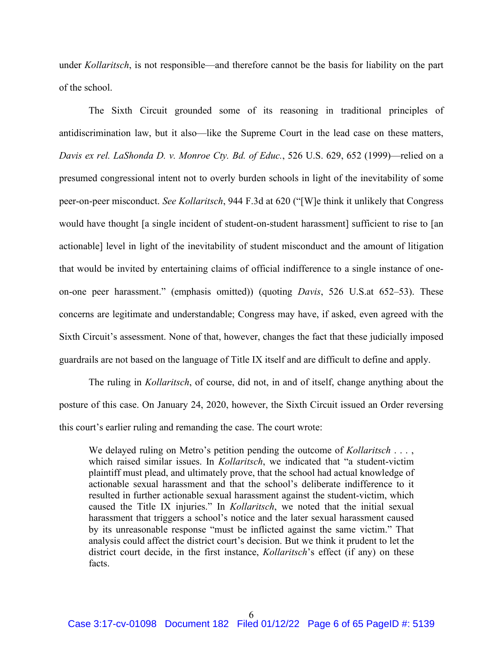under *Kollaritsch*, is not responsible—and therefore cannot be the basis for liability on the part of the school.

The Sixth Circuit grounded some of its reasoning in traditional principles of antidiscrimination law, but it also—like the Supreme Court in the lead case on these matters, *Davis ex rel. LaShonda D. v. Monroe Cty. Bd. of Educ.*, 526 U.S. 629, 652 (1999)—relied on a presumed congressional intent not to overly burden schools in light of the inevitability of some peer-on-peer misconduct. *See Kollaritsch*, 944 F.3d at 620 ("[W]e think it unlikely that Congress would have thought [a single incident of student-on-student harassment] sufficient to rise to [an actionable] level in light of the inevitability of student misconduct and the amount of litigation that would be invited by entertaining claims of official indifference to a single instance of oneon-one peer harassment." (emphasis omitted)) (quoting *Davis*, 526 U.S.at 652–53). These concerns are legitimate and understandable; Congress may have, if asked, even agreed with the Sixth Circuit's assessment. None of that, however, changes the fact that these judicially imposed guardrails are not based on the language of Title IX itself and are difficult to define and apply.

The ruling in *Kollaritsch*, of course, did not, in and of itself, change anything about the posture of this case. On January 24, 2020, however, the Sixth Circuit issued an Order reversing this court's earlier ruling and remanding the case. The court wrote:

We delayed ruling on Metro's petition pending the outcome of *Kollaritsch* . . . , which raised similar issues. In *Kollaritsch*, we indicated that "a student-victim plaintiff must plead, and ultimately prove, that the school had actual knowledge of actionable sexual harassment and that the school's deliberate indifference to it resulted in further actionable sexual harassment against the student-victim, which caused the Title IX injuries." In *Kollaritsch*, we noted that the initial sexual harassment that triggers a school's notice and the later sexual harassment caused by its unreasonable response "must be inflicted against the same victim." That analysis could affect the district court's decision. But we think it prudent to let the district court decide, in the first instance, *Kollaritsch*'s effect (if any) on these facts.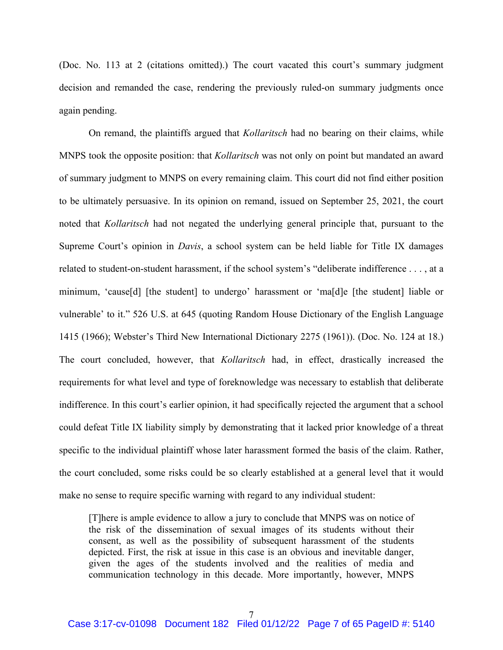(Doc. No. 113 at 2 (citations omitted).) The court vacated this court's summary judgment decision and remanded the case, rendering the previously ruled-on summary judgments once again pending.

On remand, the plaintiffs argued that *Kollaritsch* had no bearing on their claims, while MNPS took the opposite position: that *Kollaritsch* was not only on point but mandated an award of summary judgment to MNPS on every remaining claim. This court did not find either position to be ultimately persuasive. In its opinion on remand, issued on September 25, 2021, the court noted that *Kollaritsch* had not negated the underlying general principle that, pursuant to the Supreme Court's opinion in *Davis*, a school system can be held liable for Title IX damages related to student-on-student harassment, if the school system's "deliberate indifference . . . , at a minimum, 'cause[d] [the student] to undergo' harassment or 'ma[d]e [the student] liable or vulnerable' to it." 526 U.S. at 645 (quoting Random House Dictionary of the English Language 1415 (1966); Webster's Third New International Dictionary 2275 (1961)). (Doc. No. 124 at 18.) The court concluded, however, that *Kollaritsch* had, in effect, drastically increased the requirements for what level and type of foreknowledge was necessary to establish that deliberate indifference. In this court's earlier opinion, it had specifically rejected the argument that a school could defeat Title IX liability simply by demonstrating that it lacked prior knowledge of a threat specific to the individual plaintiff whose later harassment formed the basis of the claim. Rather, the court concluded, some risks could be so clearly established at a general level that it would make no sense to require specific warning with regard to any individual student:

[T]here is ample evidence to allow a jury to conclude that MNPS was on notice of the risk of the dissemination of sexual images of its students without their consent, as well as the possibility of subsequent harassment of the students depicted. First, the risk at issue in this case is an obvious and inevitable danger, given the ages of the students involved and the realities of media and communication technology in this decade. More importantly, however, MNPS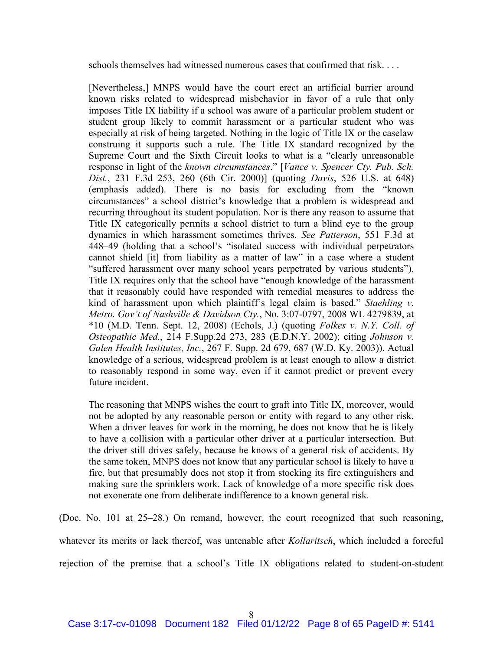schools themselves had witnessed numerous cases that confirmed that risk. . . .

[Nevertheless,] MNPS would have the court erect an artificial barrier around known risks related to widespread misbehavior in favor of a rule that only imposes Title IX liability if a school was aware of a particular problem student or student group likely to commit harassment or a particular student who was especially at risk of being targeted. Nothing in the logic of Title IX or the caselaw construing it supports such a rule. The Title IX standard recognized by the Supreme Court and the Sixth Circuit looks to what is a "clearly unreasonable response in light of the *known circumstances*." [*Vance v. Spencer Cty. Pub. Sch. Dist.*, 231 F.3d 253, 260 (6th Cir. 2000)] (quoting *Davis*, 526 U.S. at 648) (emphasis added). There is no basis for excluding from the "known circumstances" a school district's knowledge that a problem is widespread and recurring throughout its student population. Nor is there any reason to assume that Title IX categorically permits a school district to turn a blind eye to the group dynamics in which harassment sometimes thrives. *See Patterson*, 551 F.3d at 448–49 (holding that a school's "isolated success with individual perpetrators cannot shield [it] from liability as a matter of law" in a case where a student "suffered harassment over many school years perpetrated by various students"). Title IX requires only that the school have "enough knowledge of the harassment that it reasonably could have responded with remedial measures to address the kind of harassment upon which plaintiff's legal claim is based." *Staehling v. Metro. Gov't of Nashville & Davidson Cty.*, No. 3:07-0797, 2008 WL 4279839, at \*10 (M.D. Tenn. Sept. 12, 2008) (Echols, J.) (quoting *Folkes v. N.Y. Coll. of Osteopathic Med.*, 214 F.Supp.2d 273, 283 (E.D.N.Y. 2002); citing *Johnson v. Galen Health Institutes, Inc.*, 267 F. Supp. 2d 679, 687 (W.D. Ky. 2003)). Actual knowledge of a serious, widespread problem is at least enough to allow a district to reasonably respond in some way, even if it cannot predict or prevent every future incident.

The reasoning that MNPS wishes the court to graft into Title IX, moreover, would not be adopted by any reasonable person or entity with regard to any other risk. When a driver leaves for work in the morning, he does not know that he is likely to have a collision with a particular other driver at a particular intersection. But the driver still drives safely, because he knows of a general risk of accidents. By the same token, MNPS does not know that any particular school is likely to have a fire, but that presumably does not stop it from stocking its fire extinguishers and making sure the sprinklers work. Lack of knowledge of a more specific risk does not exonerate one from deliberate indifference to a known general risk.

(Doc. No. 101 at 25–28.) On remand, however, the court recognized that such reasoning, whatever its merits or lack thereof, was untenable after *Kollaritsch*, which included a forceful

rejection of the premise that a school's Title IX obligations related to student-on-student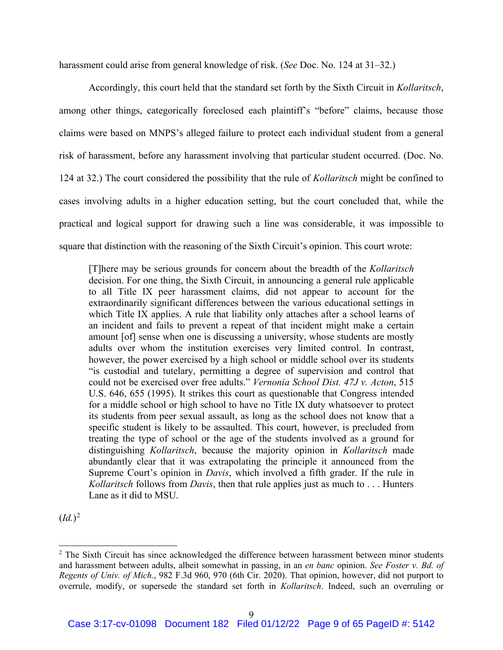harassment could arise from general knowledge of risk. (*See* Doc. No. 124 at 31–32.)

Accordingly, this court held that the standard set forth by the Sixth Circuit in *Kollaritsch*, among other things, categorically foreclosed each plaintiff's "before" claims, because those claims were based on MNPS's alleged failure to protect each individual student from a general risk of harassment, before any harassment involving that particular student occurred. (Doc. No. 124 at 32.) The court considered the possibility that the rule of *Kollaritsch* might be confined to cases involving adults in a higher education setting, but the court concluded that, while the practical and logical support for drawing such a line was considerable, it was impossible to square that distinction with the reasoning of the Sixth Circuit's opinion. This court wrote:

[T]here may be serious grounds for concern about the breadth of the *Kollaritsch* decision. For one thing, the Sixth Circuit, in announcing a general rule applicable to all Title IX peer harassment claims, did not appear to account for the extraordinarily significant differences between the various educational settings in which Title IX applies. A rule that liability only attaches after a school learns of an incident and fails to prevent a repeat of that incident might make a certain amount [of] sense when one is discussing a university, whose students are mostly adults over whom the institution exercises very limited control. In contrast, however, the power exercised by a high school or middle school over its students "is custodial and tutelary, permitting a degree of supervision and control that could not be exercised over free adults." *Vernonia School Dist. 47J v. Acton*, 515 U.S. 646, 655 (1995). It strikes this court as questionable that Congress intended for a middle school or high school to have no Title IX duty whatsoever to protect its students from peer sexual assault, as long as the school does not know that a specific student is likely to be assaulted. This court, however, is precluded from treating the type of school or the age of the students involved as a ground for distinguishing *Kollaritsch*, because the majority opinion in *Kollaritsch* made abundantly clear that it was extrapolating the principle it announced from the Supreme Court's opinion in *Davis*, which involved a fifth grader. If the rule in *Kollaritsch* follows from *Davis*, then that rule applies just as much to . . . Hunters Lane as it did to MSU.

 $(Id.)^2$ 

<sup>&</sup>lt;sup>2</sup> The Sixth Circuit has since acknowledged the difference between harassment between minor students and harassment between adults, albeit somewhat in passing, in an *en banc* opinion. *See Foster v. Bd. of Regents of Univ. of Mich.*, 982 F.3d 960, 970 (6th Cir. 2020). That opinion, however, did not purport to overrule, modify, or supersede the standard set forth in *Kollaritsch*. Indeed, such an overruling or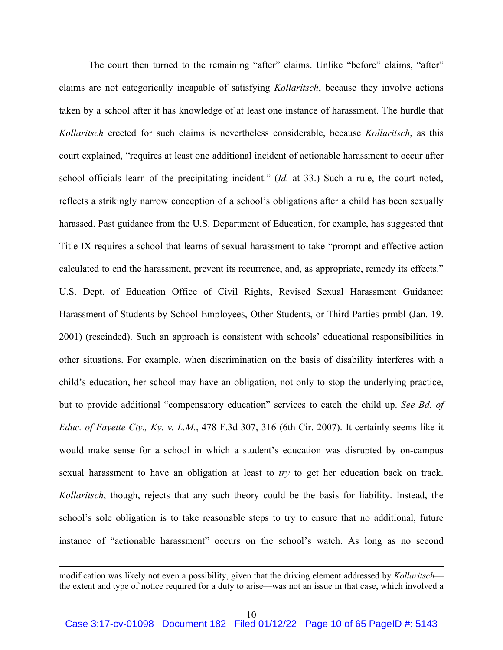The court then turned to the remaining "after" claims. Unlike "before" claims, "after" claims are not categorically incapable of satisfying *Kollaritsch*, because they involve actions taken by a school after it has knowledge of at least one instance of harassment. The hurdle that *Kollaritsch* erected for such claims is nevertheless considerable, because *Kollaritsch*, as this court explained, "requires at least one additional incident of actionable harassment to occur after school officials learn of the precipitating incident." (*Id.* at 33.) Such a rule, the court noted, reflects a strikingly narrow conception of a school's obligations after a child has been sexually harassed. Past guidance from the U.S. Department of Education, for example, has suggested that Title IX requires a school that learns of sexual harassment to take "prompt and effective action calculated to end the harassment, prevent its recurrence, and, as appropriate, remedy its effects." U.S. Dept. of Education Office of Civil Rights, Revised Sexual Harassment Guidance: Harassment of Students by School Employees, Other Students, or Third Parties prmbl (Jan. 19. 2001) (rescinded). Such an approach is consistent with schools' educational responsibilities in other situations. For example, when discrimination on the basis of disability interferes with a child's education, her school may have an obligation, not only to stop the underlying practice, but to provide additional "compensatory education" services to catch the child up. *See Bd. of Educ. of Fayette Cty., Ky. v. L.M.*, 478 F.3d 307, 316 (6th Cir. 2007). It certainly seems like it would make sense for a school in which a student's education was disrupted by on-campus sexual harassment to have an obligation at least to *try* to get her education back on track. *Kollaritsch*, though, rejects that any such theory could be the basis for liability. Instead, the school's sole obligation is to take reasonable steps to try to ensure that no additional, future instance of "actionable harassment" occurs on the school's watch. As long as no second

modification was likely not even a possibility, given that the driving element addressed by *Kollaritsch* the extent and type of notice required for a duty to arise—was not an issue in that case, which involved a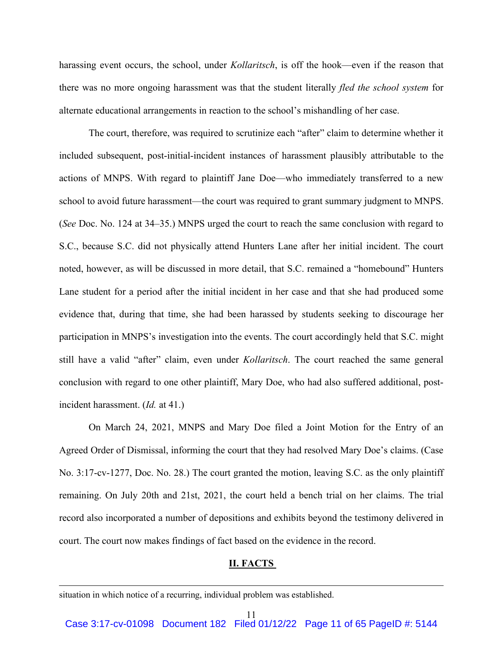harassing event occurs, the school, under *Kollaritsch*, is off the hook—even if the reason that there was no more ongoing harassment was that the student literally *fled the school system* for alternate educational arrangements in reaction to the school's mishandling of her case.

The court, therefore, was required to scrutinize each "after" claim to determine whether it included subsequent, post-initial-incident instances of harassment plausibly attributable to the actions of MNPS. With regard to plaintiff Jane Doe—who immediately transferred to a new school to avoid future harassment—the court was required to grant summary judgment to MNPS. (*See* Doc. No. 124 at 34–35.) MNPS urged the court to reach the same conclusion with regard to S.C., because S.C. did not physically attend Hunters Lane after her initial incident. The court noted, however, as will be discussed in more detail, that S.C. remained a "homebound" Hunters Lane student for a period after the initial incident in her case and that she had produced some evidence that, during that time, she had been harassed by students seeking to discourage her participation in MNPS's investigation into the events. The court accordingly held that S.C. might still have a valid "after" claim, even under *Kollaritsch*. The court reached the same general conclusion with regard to one other plaintiff, Mary Doe, who had also suffered additional, postincident harassment. (*Id.* at 41.)

On March 24, 2021, MNPS and Mary Doe filed a Joint Motion for the Entry of an Agreed Order of Dismissal, informing the court that they had resolved Mary Doe's claims. (Case No. 3:17-cv-1277, Doc. No. 28.) The court granted the motion, leaving S.C. as the only plaintiff remaining. On July 20th and 21st, 2021, the court held a bench trial on her claims. The trial record also incorporated a number of depositions and exhibits beyond the testimony delivered in court. The court now makes findings of fact based on the evidence in the record.

# **II. FACTS**

situation in which notice of a recurring, individual problem was established.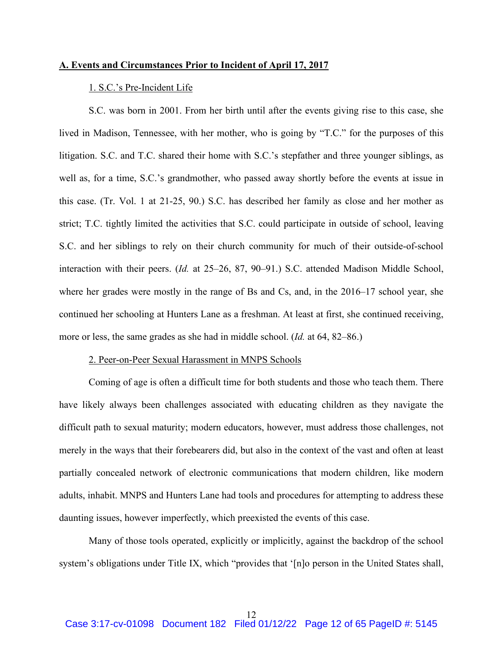# **A. Events and Circumstances Prior to Incident of April 17, 2017**

# 1. S.C.'s Pre-Incident Life

S.C. was born in 2001. From her birth until after the events giving rise to this case, she lived in Madison, Tennessee, with her mother, who is going by "T.C." for the purposes of this litigation. S.C. and T.C. shared their home with S.C.'s stepfather and three younger siblings, as well as, for a time, S.C.'s grandmother, who passed away shortly before the events at issue in this case. (Tr. Vol. 1 at 21-25, 90.) S.C. has described her family as close and her mother as strict; T.C. tightly limited the activities that S.C. could participate in outside of school, leaving S.C. and her siblings to rely on their church community for much of their outside-of-school interaction with their peers. (*Id.* at 25–26, 87, 90–91.) S.C. attended Madison Middle School, where her grades were mostly in the range of Bs and Cs, and, in the 2016–17 school year, she continued her schooling at Hunters Lane as a freshman. At least at first, she continued receiving, more or less, the same grades as she had in middle school. (*Id.* at 64, 82–86.)

#### 2. Peer-on-Peer Sexual Harassment in MNPS Schools

Coming of age is often a difficult time for both students and those who teach them. There have likely always been challenges associated with educating children as they navigate the difficult path to sexual maturity; modern educators, however, must address those challenges, not merely in the ways that their forebearers did, but also in the context of the vast and often at least partially concealed network of electronic communications that modern children, like modern adults, inhabit. MNPS and Hunters Lane had tools and procedures for attempting to address these daunting issues, however imperfectly, which preexisted the events of this case.

Many of those tools operated, explicitly or implicitly, against the backdrop of the school system's obligations under Title IX, which "provides that '[n]o person in the United States shall,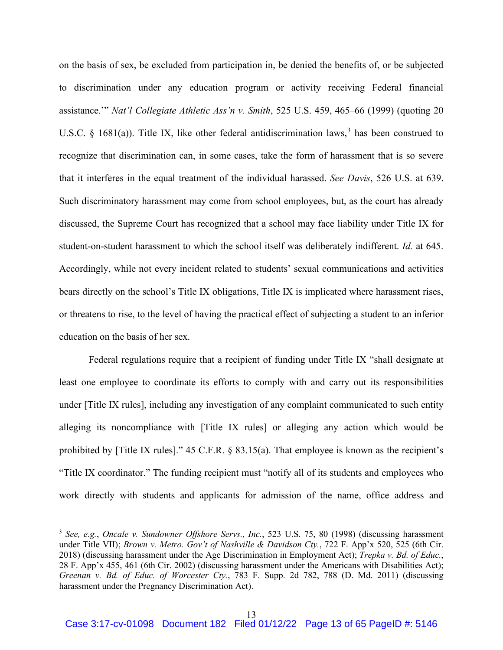on the basis of sex, be excluded from participation in, be denied the benefits of, or be subjected to discrimination under any education program or activity receiving Federal financial assistance.'" *Nat'l Collegiate Athletic Ass'n v. Smith*, 525 U.S. 459, 465–66 (1999) (quoting 20 U.S.C. § 1681(a)). Title IX, like other federal antidiscrimination laws,<sup>3</sup> has been construed to recognize that discrimination can, in some cases, take the form of harassment that is so severe that it interferes in the equal treatment of the individual harassed. *See Davis*, 526 U.S. at 639. Such discriminatory harassment may come from school employees, but, as the court has already discussed, the Supreme Court has recognized that a school may face liability under Title IX for student-on-student harassment to which the school itself was deliberately indifferent. *Id.* at 645. Accordingly, while not every incident related to students' sexual communications and activities bears directly on the school's Title IX obligations, Title IX is implicated where harassment rises, or threatens to rise, to the level of having the practical effect of subjecting a student to an inferior education on the basis of her sex.

Federal regulations require that a recipient of funding under Title IX "shall designate at least one employee to coordinate its efforts to comply with and carry out its responsibilities under [Title IX rules], including any investigation of any complaint communicated to such entity alleging its noncompliance with [Title IX rules] or alleging any action which would be prohibited by [Title IX rules]." 45 C.F.R. § 83.15(a). That employee is known as the recipient's "Title IX coordinator." The funding recipient must "notify all of its students and employees who work directly with students and applicants for admission of the name, office address and

<sup>3</sup> *See, e.g.*, *Oncale v. Sundowner Offshore Servs., Inc.*, 523 U.S. 75, 80 (1998) (discussing harassment under Title VII); *Brown v. Metro. Gov't of Nashville & Davidson Cty.*, 722 F. App'x 520, 525 (6th Cir. 2018) (discussing harassment under the Age Discrimination in Employment Act); *Trepka v. Bd. of Educ.*, 28 F. App'x 455, 461 (6th Cir. 2002) (discussing harassment under the Americans with Disabilities Act); *Greenan v. Bd. of Educ. of Worcester Cty.*, 783 F. Supp. 2d 782, 788 (D. Md. 2011) (discussing harassment under the Pregnancy Discrimination Act).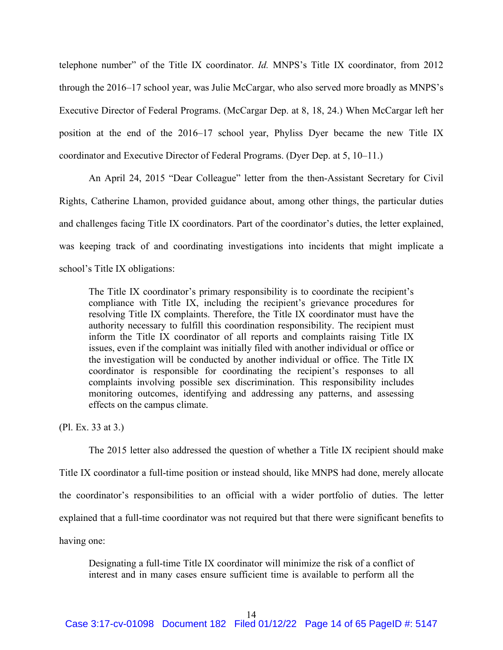telephone number" of the Title IX coordinator. *Id.* MNPS's Title IX coordinator, from 2012 through the 2016–17 school year, was Julie McCargar, who also served more broadly as MNPS's Executive Director of Federal Programs. (McCargar Dep. at 8, 18, 24.) When McCargar left her position at the end of the 2016–17 school year, Phyliss Dyer became the new Title IX coordinator and Executive Director of Federal Programs. (Dyer Dep. at 5, 10–11.)

An April 24, 2015 "Dear Colleague" letter from the then-Assistant Secretary for Civil Rights, Catherine Lhamon, provided guidance about, among other things, the particular duties and challenges facing Title IX coordinators. Part of the coordinator's duties, the letter explained, was keeping track of and coordinating investigations into incidents that might implicate a school's Title IX obligations:

The Title IX coordinator's primary responsibility is to coordinate the recipient's compliance with Title IX, including the recipient's grievance procedures for resolving Title IX complaints. Therefore, the Title IX coordinator must have the authority necessary to fulfill this coordination responsibility. The recipient must inform the Title IX coordinator of all reports and complaints raising Title IX issues, even if the complaint was initially filed with another individual or office or the investigation will be conducted by another individual or office. The Title IX coordinator is responsible for coordinating the recipient's responses to all complaints involving possible sex discrimination. This responsibility includes monitoring outcomes, identifying and addressing any patterns, and assessing effects on the campus climate.

(Pl. Ex. 33 at 3.)

The 2015 letter also addressed the question of whether a Title IX recipient should make Title IX coordinator a full-time position or instead should, like MNPS had done, merely allocate the coordinator's responsibilities to an official with a wider portfolio of duties. The letter explained that a full-time coordinator was not required but that there were significant benefits to having one:

Designating a full-time Title IX coordinator will minimize the risk of a conflict of interest and in many cases ensure sufficient time is available to perform all the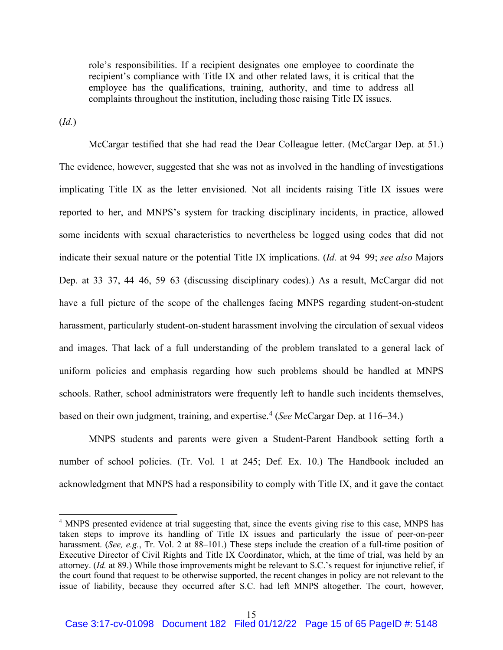role's responsibilities. If a recipient designates one employee to coordinate the recipient's compliance with Title IX and other related laws, it is critical that the employee has the qualifications, training, authority, and time to address all complaints throughout the institution, including those raising Title IX issues.

(*Id.*)

McCargar testified that she had read the Dear Colleague letter. (McCargar Dep. at 51.) The evidence, however, suggested that she was not as involved in the handling of investigations implicating Title IX as the letter envisioned. Not all incidents raising Title IX issues were reported to her, and MNPS's system for tracking disciplinary incidents, in practice, allowed some incidents with sexual characteristics to nevertheless be logged using codes that did not indicate their sexual nature or the potential Title IX implications. (*Id.* at 94–99; *see also* Majors Dep. at 33–37, 44–46, 59–63 (discussing disciplinary codes).) As a result, McCargar did not have a full picture of the scope of the challenges facing MNPS regarding student-on-student harassment, particularly student-on-student harassment involving the circulation of sexual videos and images. That lack of a full understanding of the problem translated to a general lack of uniform policies and emphasis regarding how such problems should be handled at MNPS schools. Rather, school administrators were frequently left to handle such incidents themselves, based on their own judgment, training, and expertise.<sup>4</sup> (*See* McCargar Dep. at 116–34.)

MNPS students and parents were given a Student-Parent Handbook setting forth a number of school policies. (Tr. Vol. 1 at 245; Def. Ex. 10.) The Handbook included an acknowledgment that MNPS had a responsibility to comply with Title IX, and it gave the contact

<sup>4</sup> MNPS presented evidence at trial suggesting that, since the events giving rise to this case, MNPS has taken steps to improve its handling of Title IX issues and particularly the issue of peer-on-peer harassment. (*See, e.g.*, Tr. Vol. 2 at 88–101.) These steps include the creation of a full-time position of Executive Director of Civil Rights and Title IX Coordinator, which, at the time of trial, was held by an attorney. (*Id.* at 89.) While those improvements might be relevant to S.C.'s request for injunctive relief, if the court found that request to be otherwise supported, the recent changes in policy are not relevant to the issue of liability, because they occurred after S.C. had left MNPS altogether. The court, however,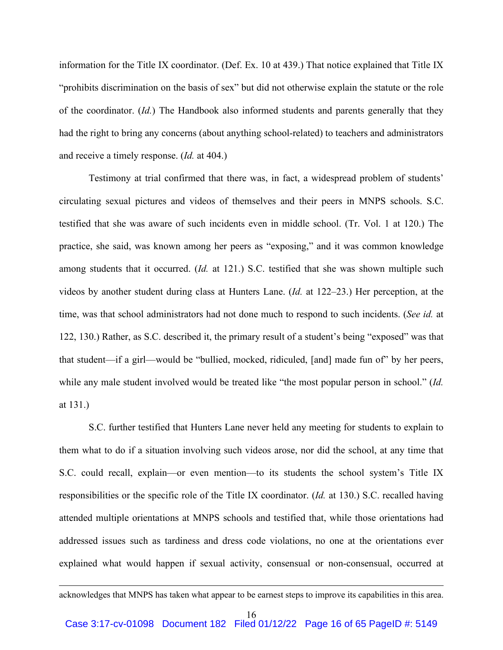information for the Title IX coordinator. (Def. Ex. 10 at 439.) That notice explained that Title IX "prohibits discrimination on the basis of sex" but did not otherwise explain the statute or the role of the coordinator. (*Id.*) The Handbook also informed students and parents generally that they had the right to bring any concerns (about anything school-related) to teachers and administrators and receive a timely response. (*Id.* at 404.)

Testimony at trial confirmed that there was, in fact, a widespread problem of students' circulating sexual pictures and videos of themselves and their peers in MNPS schools. S.C. testified that she was aware of such incidents even in middle school. (Tr. Vol. 1 at 120.) The practice, she said, was known among her peers as "exposing," and it was common knowledge among students that it occurred. (*Id.* at 121.) S.C. testified that she was shown multiple such videos by another student during class at Hunters Lane. (*Id.* at 122–23.) Her perception, at the time, was that school administrators had not done much to respond to such incidents. (*See id.* at 122, 130.) Rather, as S.C. described it, the primary result of a student's being "exposed" was that that student—if a girl—would be "bullied, mocked, ridiculed, [and] made fun of" by her peers, while any male student involved would be treated like "the most popular person in school." (*Id.* at 131.)

S.C. further testified that Hunters Lane never held any meeting for students to explain to them what to do if a situation involving such videos arose, nor did the school, at any time that S.C. could recall, explain—or even mention—to its students the school system's Title IX responsibilities or the specific role of the Title IX coordinator. (*Id.* at 130.) S.C. recalled having attended multiple orientations at MNPS schools and testified that, while those orientations had addressed issues such as tardiness and dress code violations, no one at the orientations ever explained what would happen if sexual activity, consensual or non-consensual, occurred at

acknowledges that MNPS has taken what appear to be earnest steps to improve its capabilities in this area.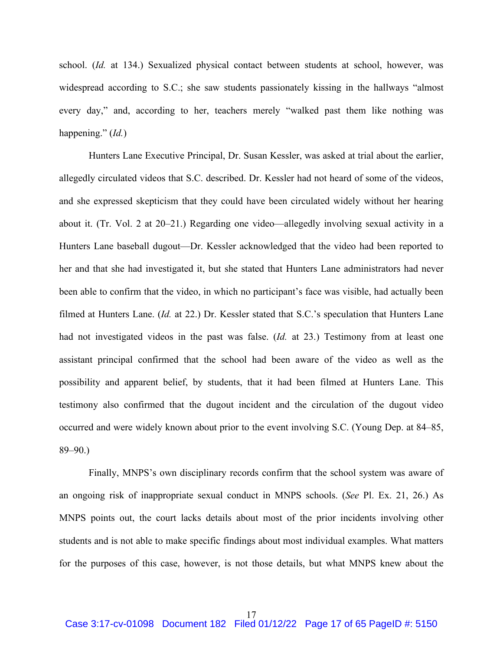school. (*Id.* at 134.) Sexualized physical contact between students at school, however, was widespread according to S.C.; she saw students passionately kissing in the hallways "almost every day," and, according to her, teachers merely "walked past them like nothing was happening." (*Id.*)

Hunters Lane Executive Principal, Dr. Susan Kessler, was asked at trial about the earlier, allegedly circulated videos that S.C. described. Dr. Kessler had not heard of some of the videos, and she expressed skepticism that they could have been circulated widely without her hearing about it. (Tr. Vol. 2 at 20–21.) Regarding one video—allegedly involving sexual activity in a Hunters Lane baseball dugout—Dr. Kessler acknowledged that the video had been reported to her and that she had investigated it, but she stated that Hunters Lane administrators had never been able to confirm that the video, in which no participant's face was visible, had actually been filmed at Hunters Lane. (*Id.* at 22.) Dr. Kessler stated that S.C.'s speculation that Hunters Lane had not investigated videos in the past was false. (*Id.* at 23.) Testimony from at least one assistant principal confirmed that the school had been aware of the video as well as the possibility and apparent belief, by students, that it had been filmed at Hunters Lane. This testimony also confirmed that the dugout incident and the circulation of the dugout video occurred and were widely known about prior to the event involving S.C. (Young Dep. at 84–85, 89–90.)

Finally, MNPS's own disciplinary records confirm that the school system was aware of an ongoing risk of inappropriate sexual conduct in MNPS schools. (*See* Pl. Ex. 21, 26.) As MNPS points out, the court lacks details about most of the prior incidents involving other students and is not able to make specific findings about most individual examples. What matters for the purposes of this case, however, is not those details, but what MNPS knew about the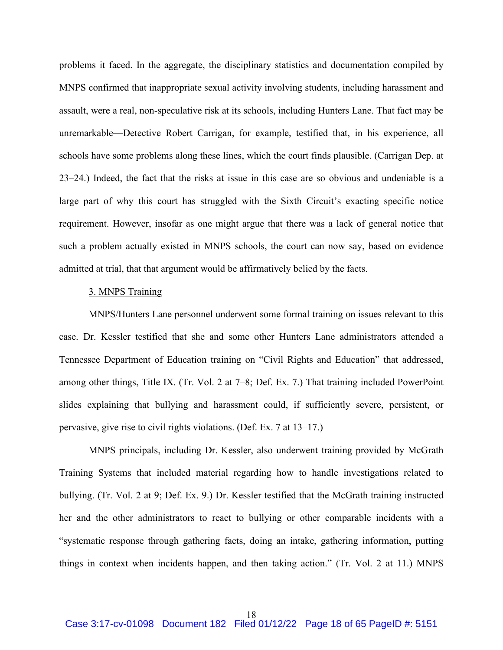problems it faced. In the aggregate, the disciplinary statistics and documentation compiled by MNPS confirmed that inappropriate sexual activity involving students, including harassment and assault, were a real, non-speculative risk at its schools, including Hunters Lane. That fact may be unremarkable—Detective Robert Carrigan, for example, testified that, in his experience, all schools have some problems along these lines, which the court finds plausible. (Carrigan Dep. at 23–24.) Indeed, the fact that the risks at issue in this case are so obvious and undeniable is a large part of why this court has struggled with the Sixth Circuit's exacting specific notice requirement. However, insofar as one might argue that there was a lack of general notice that such a problem actually existed in MNPS schools, the court can now say, based on evidence admitted at trial, that that argument would be affirmatively belied by the facts.

# 3. MNPS Training

MNPS/Hunters Lane personnel underwent some formal training on issues relevant to this case. Dr. Kessler testified that she and some other Hunters Lane administrators attended a Tennessee Department of Education training on "Civil Rights and Education" that addressed, among other things, Title IX. (Tr. Vol. 2 at 7–8; Def. Ex. 7.) That training included PowerPoint slides explaining that bullying and harassment could, if sufficiently severe, persistent, or pervasive, give rise to civil rights violations. (Def. Ex. 7 at 13–17.)

MNPS principals, including Dr. Kessler, also underwent training provided by McGrath Training Systems that included material regarding how to handle investigations related to bullying. (Tr. Vol. 2 at 9; Def. Ex. 9.) Dr. Kessler testified that the McGrath training instructed her and the other administrators to react to bullying or other comparable incidents with a "systematic response through gathering facts, doing an intake, gathering information, putting things in context when incidents happen, and then taking action." (Tr. Vol. 2 at 11.) MNPS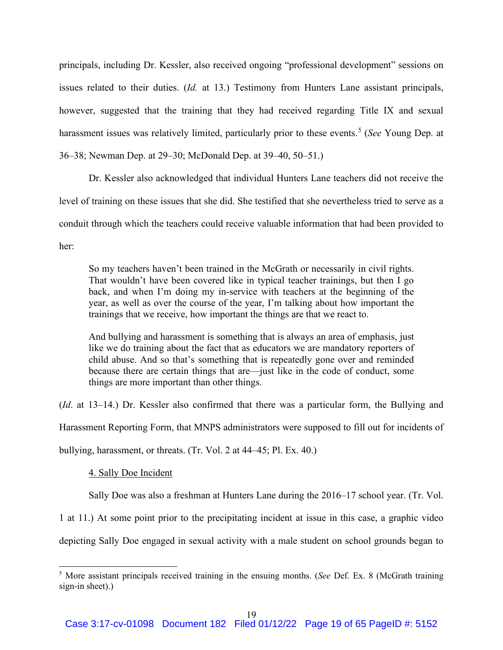principals, including Dr. Kessler, also received ongoing "professional development" sessions on issues related to their duties. (*Id.* at 13.) Testimony from Hunters Lane assistant principals, however, suggested that the training that they had received regarding Title IX and sexual harassment issues was relatively limited, particularly prior to these events. <sup>5</sup> (*See* Young Dep. at 36–38; Newman Dep. at 29–30; McDonald Dep. at 39–40, 50–51.)

Dr. Kessler also acknowledged that individual Hunters Lane teachers did not receive the level of training on these issues that she did. She testified that she nevertheless tried to serve as a conduit through which the teachers could receive valuable information that had been provided to her:

So my teachers haven't been trained in the McGrath or necessarily in civil rights. That wouldn't have been covered like in typical teacher trainings, but then I go back, and when I'm doing my in-service with teachers at the beginning of the year, as well as over the course of the year, I'm talking about how important the trainings that we receive, how important the things are that we react to.

And bullying and harassment is something that is always an area of emphasis, just like we do training about the fact that as educators we are mandatory reporters of child abuse. And so that's something that is repeatedly gone over and reminded because there are certain things that are—just like in the code of conduct, some things are more important than other things.

(*Id*. at 13–14.) Dr. Kessler also confirmed that there was a particular form, the Bullying and Harassment Reporting Form, that MNPS administrators were supposed to fill out for incidents of bullying, harassment, or threats. (Tr. Vol. 2 at 44–45; Pl. Ex. 40.)

4. Sally Doe Incident

Sally Doe was also a freshman at Hunters Lane during the 2016–17 school year. (Tr. Vol.

1 at 11.) At some point prior to the precipitating incident at issue in this case, a graphic video

depicting Sally Doe engaged in sexual activity with a male student on school grounds began to

<sup>5</sup> More assistant principals received training in the ensuing months. (*See* Def. Ex. 8 (McGrath training sign-in sheet).)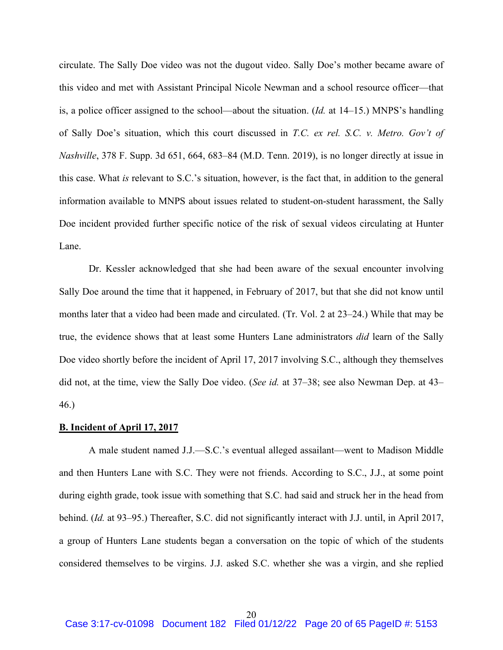circulate. The Sally Doe video was not the dugout video. Sally Doe's mother became aware of this video and met with Assistant Principal Nicole Newman and a school resource officer—that is, a police officer assigned to the school—about the situation. (*Id.* at 14–15.) MNPS's handling of Sally Doe's situation, which this court discussed in *T.C. ex rel. S.C. v. Metro. Gov't of Nashville*, 378 F. Supp. 3d 651, 664, 683–84 (M.D. Tenn. 2019), is no longer directly at issue in this case. What *is* relevant to S.C.'s situation, however, is the fact that, in addition to the general information available to MNPS about issues related to student-on-student harassment, the Sally Doe incident provided further specific notice of the risk of sexual videos circulating at Hunter Lane.

Dr. Kessler acknowledged that she had been aware of the sexual encounter involving Sally Doe around the time that it happened, in February of 2017, but that she did not know until months later that a video had been made and circulated. (Tr. Vol. 2 at 23–24.) While that may be true, the evidence shows that at least some Hunters Lane administrators *did* learn of the Sally Doe video shortly before the incident of April 17, 2017 involving S.C., although they themselves did not, at the time, view the Sally Doe video. (*See id.* at 37–38; see also Newman Dep. at 43– 46.)

#### **B. Incident of April 17, 2017**

A male student named J.J.—S.C.'s eventual alleged assailant—went to Madison Middle and then Hunters Lane with S.C. They were not friends. According to S.C., J.J., at some point during eighth grade, took issue with something that S.C. had said and struck her in the head from behind. (*Id.* at 93–95.) Thereafter, S.C. did not significantly interact with J.J. until, in April 2017, a group of Hunters Lane students began a conversation on the topic of which of the students considered themselves to be virgins. J.J. asked S.C. whether she was a virgin, and she replied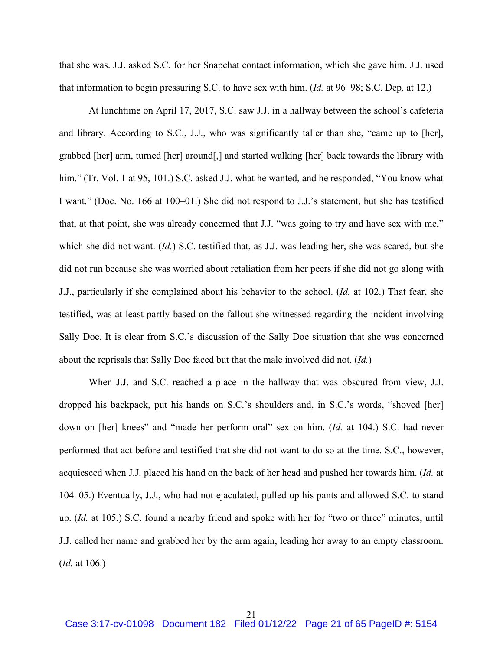that she was. J.J. asked S.C. for her Snapchat contact information, which she gave him. J.J. used that information to begin pressuring S.C. to have sex with him. (*Id.* at 96–98; S.C. Dep. at 12.)

At lunchtime on April 17, 2017, S.C. saw J.J. in a hallway between the school's cafeteria and library. According to S.C., J.J., who was significantly taller than she, "came up to [her], grabbed [her] arm, turned [her] around[,] and started walking [her] back towards the library with him." (Tr. Vol. 1 at 95, 101.) S.C. asked J.J. what he wanted, and he responded, "You know what I want." (Doc. No. 166 at 100–01.) She did not respond to J.J.'s statement, but she has testified that, at that point, she was already concerned that J.J. "was going to try and have sex with me," which she did not want. (*Id.*) S.C. testified that, as J.J. was leading her, she was scared, but she did not run because she was worried about retaliation from her peers if she did not go along with J.J., particularly if she complained about his behavior to the school. (*Id.* at 102.) That fear, she testified, was at least partly based on the fallout she witnessed regarding the incident involving Sally Doe. It is clear from S.C.'s discussion of the Sally Doe situation that she was concerned about the reprisals that Sally Doe faced but that the male involved did not. (*Id.*)

When J.J. and S.C. reached a place in the hallway that was obscured from view, J.J. dropped his backpack, put his hands on S.C.'s shoulders and, in S.C.'s words, "shoved [her] down on [her] knees" and "made her perform oral" sex on him. (*Id.* at 104.) S.C. had never performed that act before and testified that she did not want to do so at the time. S.C., however, acquiesced when J.J. placed his hand on the back of her head and pushed her towards him. (*Id.* at 104–05.) Eventually, J.J., who had not ejaculated, pulled up his pants and allowed S.C. to stand up. (*Id.* at 105.) S.C. found a nearby friend and spoke with her for "two or three" minutes, until J.J. called her name and grabbed her by the arm again, leading her away to an empty classroom. (*Id.* at 106.)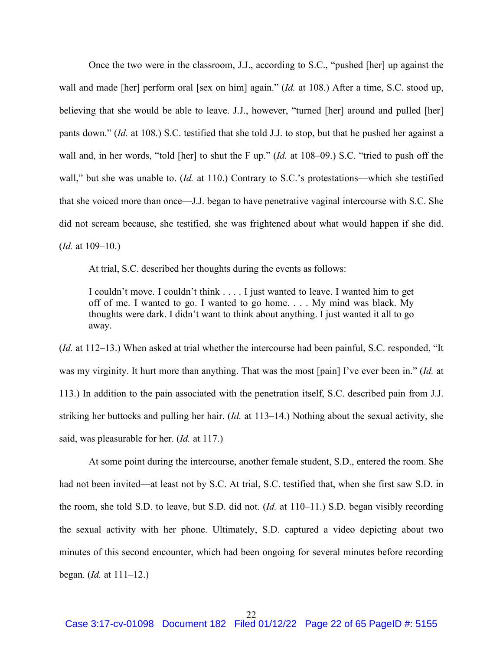Once the two were in the classroom, J.J., according to S.C., "pushed [her] up against the wall and made [her] perform oral [sex on him] again." (*Id.* at 108.) After a time, S.C. stood up, believing that she would be able to leave. J.J., however, "turned [her] around and pulled [her] pants down." (*Id.* at 108.) S.C. testified that she told J.J. to stop, but that he pushed her against a wall and, in her words, "told [her] to shut the F up." (*Id.* at 108–09.) S.C. "tried to push off the wall," but she was unable to. (*Id.* at 110.) Contrary to S.C.'s protestations—which she testified that she voiced more than once—J.J. began to have penetrative vaginal intercourse with S.C. She did not scream because, she testified, she was frightened about what would happen if she did. (*Id.* at 109–10.)

At trial, S.C. described her thoughts during the events as follows:

I couldn't move. I couldn't think . . . . I just wanted to leave. I wanted him to get off of me. I wanted to go. I wanted to go home. . . . My mind was black. My thoughts were dark. I didn't want to think about anything. I just wanted it all to go away.

(*Id.* at 112–13.) When asked at trial whether the intercourse had been painful, S.C. responded, "It was my virginity. It hurt more than anything. That was the most [pain] I've ever been in." (*Id.* at 113.) In addition to the pain associated with the penetration itself, S.C. described pain from J.J. striking her buttocks and pulling her hair. (*Id.* at 113–14.) Nothing about the sexual activity, she said, was pleasurable for her. (*Id.* at 117.)

At some point during the intercourse, another female student, S.D., entered the room. She had not been invited—at least not by S.C. At trial, S.C. testified that, when she first saw S.D. in the room, she told S.D. to leave, but S.D. did not. (*Id.* at 110–11.) S.D. began visibly recording the sexual activity with her phone. Ultimately, S.D. captured a video depicting about two minutes of this second encounter, which had been ongoing for several minutes before recording began. (*Id.* at 111–12.)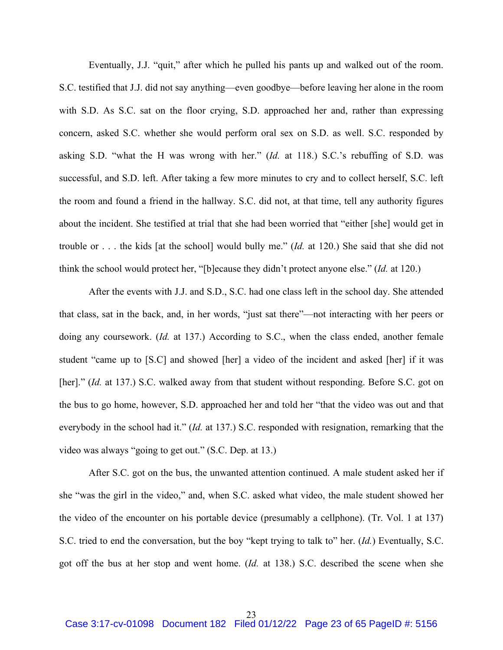Eventually, J.J. "quit," after which he pulled his pants up and walked out of the room. S.C. testified that J.J. did not say anything—even goodbye—before leaving her alone in the room with S.D. As S.C. sat on the floor crying, S.D. approached her and, rather than expressing concern, asked S.C. whether she would perform oral sex on S.D. as well. S.C. responded by asking S.D. "what the H was wrong with her." (*Id.* at 118.) S.C.'s rebuffing of S.D. was successful, and S.D. left. After taking a few more minutes to cry and to collect herself, S.C. left the room and found a friend in the hallway. S.C. did not, at that time, tell any authority figures about the incident. She testified at trial that she had been worried that "either [she] would get in trouble or . . . the kids [at the school] would bully me." (*Id.* at 120.) She said that she did not think the school would protect her, "[b]ecause they didn't protect anyone else." (*Id.* at 120.)

After the events with J.J. and S.D., S.C. had one class left in the school day. She attended that class, sat in the back, and, in her words, "just sat there"—not interacting with her peers or doing any coursework. (*Id.* at 137.) According to S.C., when the class ended, another female student "came up to [S.C] and showed [her] a video of the incident and asked [her] if it was [her]." (*Id.* at 137.) S.C. walked away from that student without responding. Before S.C. got on the bus to go home, however, S.D. approached her and told her "that the video was out and that everybody in the school had it." (*Id.* at 137.) S.C. responded with resignation, remarking that the video was always "going to get out." (S.C. Dep. at 13.)

After S.C. got on the bus, the unwanted attention continued. A male student asked her if she "was the girl in the video," and, when S.C. asked what video, the male student showed her the video of the encounter on his portable device (presumably a cellphone). (Tr. Vol. 1 at 137) S.C. tried to end the conversation, but the boy "kept trying to talk to" her. (*Id.*) Eventually, S.C. got off the bus at her stop and went home. (*Id.* at 138.) S.C. described the scene when she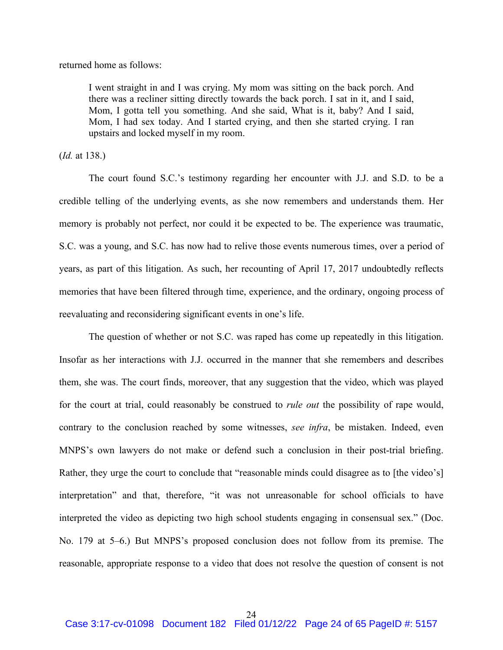returned home as follows:

I went straight in and I was crying. My mom was sitting on the back porch. And there was a recliner sitting directly towards the back porch. I sat in it, and I said, Mom, I gotta tell you something. And she said, What is it, baby? And I said, Mom, I had sex today. And I started crying, and then she started crying. I ran upstairs and locked myself in my room.

(*Id.* at 138.)

The court found S.C.'s testimony regarding her encounter with J.J. and S.D. to be a credible telling of the underlying events, as she now remembers and understands them. Her memory is probably not perfect, nor could it be expected to be. The experience was traumatic, S.C. was a young, and S.C. has now had to relive those events numerous times, over a period of years, as part of this litigation. As such, her recounting of April 17, 2017 undoubtedly reflects memories that have been filtered through time, experience, and the ordinary, ongoing process of reevaluating and reconsidering significant events in one's life.

The question of whether or not S.C. was raped has come up repeatedly in this litigation. Insofar as her interactions with J.J. occurred in the manner that she remembers and describes them, she was. The court finds, moreover, that any suggestion that the video, which was played for the court at trial, could reasonably be construed to *rule out* the possibility of rape would, contrary to the conclusion reached by some witnesses, *see infra*, be mistaken. Indeed, even MNPS's own lawyers do not make or defend such a conclusion in their post-trial briefing. Rather, they urge the court to conclude that "reasonable minds could disagree as to [the video's] interpretation" and that, therefore, "it was not unreasonable for school officials to have interpreted the video as depicting two high school students engaging in consensual sex." (Doc. No. 179 at 5–6.) But MNPS's proposed conclusion does not follow from its premise. The reasonable, appropriate response to a video that does not resolve the question of consent is not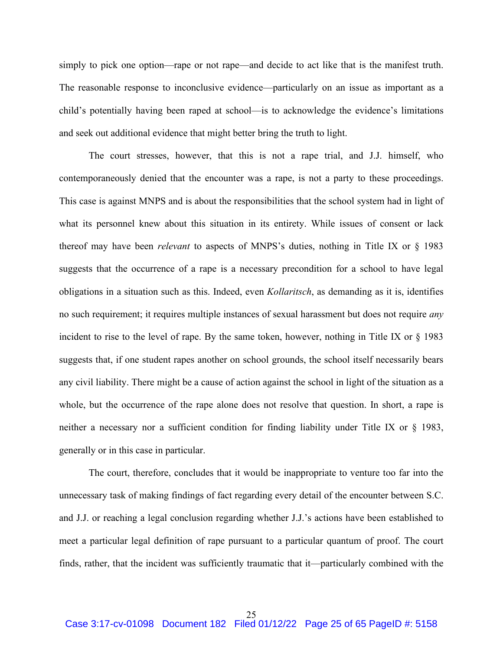simply to pick one option—rape or not rape—and decide to act like that is the manifest truth. The reasonable response to inconclusive evidence—particularly on an issue as important as a child's potentially having been raped at school—is to acknowledge the evidence's limitations and seek out additional evidence that might better bring the truth to light.

The court stresses, however, that this is not a rape trial, and J.J. himself, who contemporaneously denied that the encounter was a rape, is not a party to these proceedings. This case is against MNPS and is about the responsibilities that the school system had in light of what its personnel knew about this situation in its entirety. While issues of consent or lack thereof may have been *relevant* to aspects of MNPS's duties, nothing in Title IX or § 1983 suggests that the occurrence of a rape is a necessary precondition for a school to have legal obligations in a situation such as this. Indeed, even *Kollaritsch*, as demanding as it is, identifies no such requirement; it requires multiple instances of sexual harassment but does not require *any* incident to rise to the level of rape. By the same token, however, nothing in Title IX or § 1983 suggests that, if one student rapes another on school grounds, the school itself necessarily bears any civil liability. There might be a cause of action against the school in light of the situation as a whole, but the occurrence of the rape alone does not resolve that question. In short, a rape is neither a necessary nor a sufficient condition for finding liability under Title IX or § 1983, generally or in this case in particular.

The court, therefore, concludes that it would be inappropriate to venture too far into the unnecessary task of making findings of fact regarding every detail of the encounter between S.C. and J.J. or reaching a legal conclusion regarding whether J.J.'s actions have been established to meet a particular legal definition of rape pursuant to a particular quantum of proof. The court finds, rather, that the incident was sufficiently traumatic that it—particularly combined with the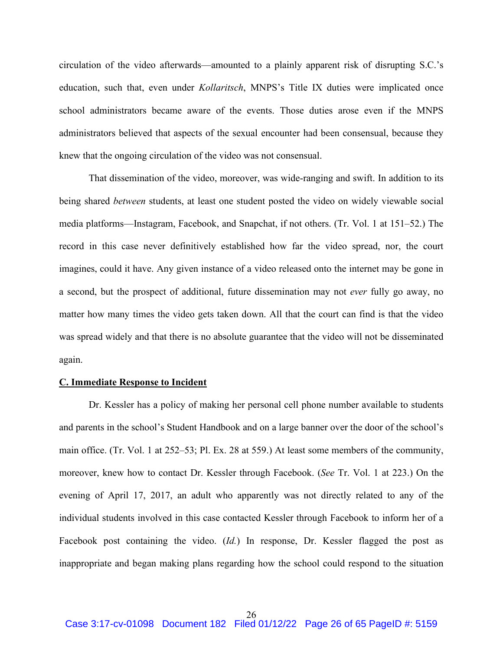circulation of the video afterwards—amounted to a plainly apparent risk of disrupting S.C.'s education, such that, even under *Kollaritsch*, MNPS's Title IX duties were implicated once school administrators became aware of the events. Those duties arose even if the MNPS administrators believed that aspects of the sexual encounter had been consensual, because they knew that the ongoing circulation of the video was not consensual.

That dissemination of the video, moreover, was wide-ranging and swift. In addition to its being shared *between* students, at least one student posted the video on widely viewable social media platforms—Instagram, Facebook, and Snapchat, if not others. (Tr. Vol. 1 at 151–52.) The record in this case never definitively established how far the video spread, nor, the court imagines, could it have. Any given instance of a video released onto the internet may be gone in a second, but the prospect of additional, future dissemination may not *ever* fully go away, no matter how many times the video gets taken down. All that the court can find is that the video was spread widely and that there is no absolute guarantee that the video will not be disseminated again.

### **C. Immediate Response to Incident**

Dr. Kessler has a policy of making her personal cell phone number available to students and parents in the school's Student Handbook and on a large banner over the door of the school's main office. (Tr. Vol. 1 at 252–53; Pl. Ex. 28 at 559.) At least some members of the community, moreover, knew how to contact Dr. Kessler through Facebook. (*See* Tr. Vol. 1 at 223.) On the evening of April 17, 2017, an adult who apparently was not directly related to any of the individual students involved in this case contacted Kessler through Facebook to inform her of a Facebook post containing the video. (*Id.*) In response, Dr. Kessler flagged the post as inappropriate and began making plans regarding how the school could respond to the situation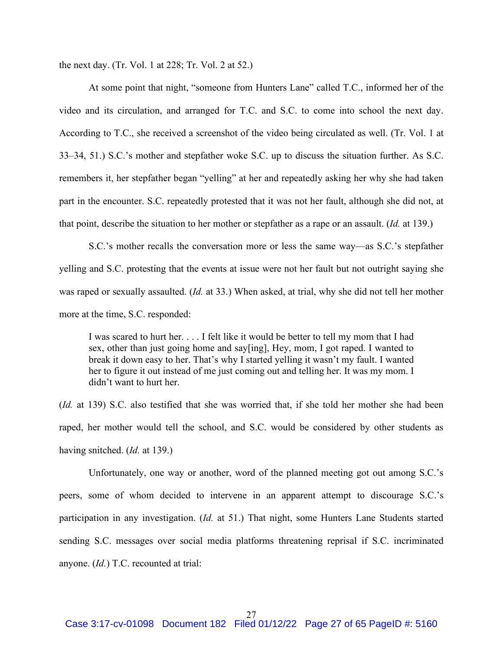the next day. (Tr. Vol. 1 at 228; Tr. Vol. 2 at 52.)

At some point that night, "someone from Hunters Lane" called T.C., informed her of the video and its circulation, and arranged for T.C. and S.C. to come into school the next day. According to T.C., she received a screenshot of the video being circulated as well. (Tr. Vol. 1 at 33–34, 51.) S.C.'s mother and stepfather woke S.C. up to discuss the situation further. As S.C. remembers it, her stepfather began "yelling" at her and repeatedly asking her why she had taken part in the encounter. S.C. repeatedly protested that it was not her fault, although she did not, at that point, describe the situation to her mother or stepfather as a rape or an assault. (*Id.* at 139.)

S.C.'s mother recalls the conversation more or less the same way—as S.C.'s stepfather yelling and S.C. protesting that the events at issue were not her fault but not outright saying she was raped or sexually assaulted. (*Id.* at 33.) When asked, at trial, why she did not tell her mother more at the time, S.C. responded:

I was scared to hurt her. . . . I felt like it would be better to tell my mom that I had sex, other than just going home and say[ing], Hey, mom, I got raped. I wanted to break it down easy to her. That's why I started yelling it wasn't my fault. I wanted her to figure it out instead of me just coming out and telling her. It was my mom. I didn't want to hurt her.

(*Id.* at 139) S.C. also testified that she was worried that, if she told her mother she had been raped, her mother would tell the school, and S.C. would be considered by other students as having snitched. (*Id.* at 139.)

Unfortunately, one way or another, word of the planned meeting got out among S.C.'s peers, some of whom decided to intervene in an apparent attempt to discourage S.C.'s participation in any investigation. (*Id.* at 51.) That night, some Hunters Lane Students started sending S.C. messages over social media platforms threatening reprisal if S.C. incriminated anyone. (*Id.*) T.C. recounted at trial: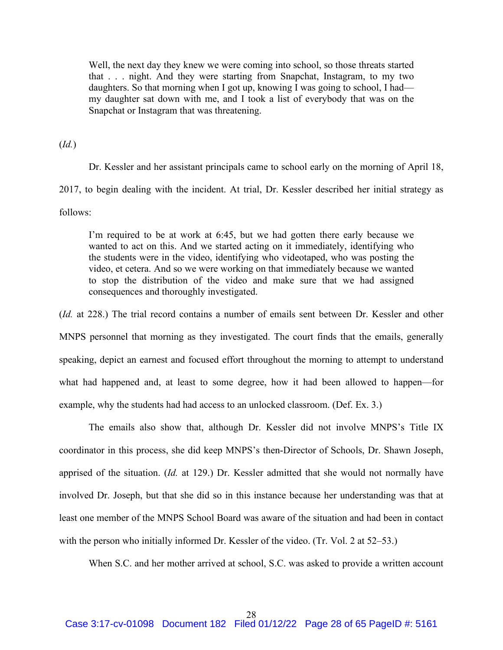Well, the next day they knew we were coming into school, so those threats started that . . . night. And they were starting from Snapchat, Instagram, to my two daughters. So that morning when I got up, knowing I was going to school, I had my daughter sat down with me, and I took a list of everybody that was on the Snapchat or Instagram that was threatening.

(*Id.*)

Dr. Kessler and her assistant principals came to school early on the morning of April 18, 2017, to begin dealing with the incident. At trial, Dr. Kessler described her initial strategy as follows:

I'm required to be at work at 6:45, but we had gotten there early because we wanted to act on this. And we started acting on it immediately, identifying who the students were in the video, identifying who videotaped, who was posting the video, et cetera. And so we were working on that immediately because we wanted to stop the distribution of the video and make sure that we had assigned consequences and thoroughly investigated.

(*Id.* at 228.) The trial record contains a number of emails sent between Dr. Kessler and other MNPS personnel that morning as they investigated. The court finds that the emails, generally speaking, depict an earnest and focused effort throughout the morning to attempt to understand what had happened and, at least to some degree, how it had been allowed to happen—for example, why the students had had access to an unlocked classroom. (Def. Ex. 3.)

The emails also show that, although Dr. Kessler did not involve MNPS's Title IX coordinator in this process, she did keep MNPS's then-Director of Schools, Dr. Shawn Joseph, apprised of the situation. (*Id.* at 129.) Dr. Kessler admitted that she would not normally have involved Dr. Joseph, but that she did so in this instance because her understanding was that at least one member of the MNPS School Board was aware of the situation and had been in contact with the person who initially informed Dr. Kessler of the video. (Tr. Vol. 2 at 52–53.)

When S.C. and her mother arrived at school, S.C. was asked to provide a written account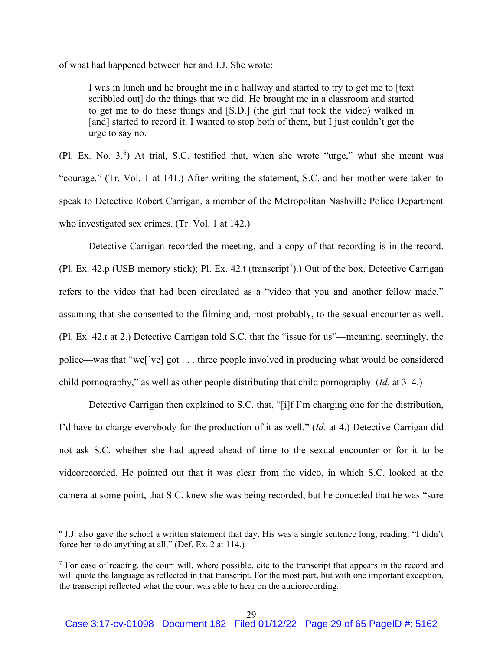of what had happened between her and J.J. She wrote:

I was in lunch and he brought me in a hallway and started to try to get me to [text scribbled out] do the things that we did. He brought me in a classroom and started to get me to do these things and [S.D.] (the girl that took the video) walked in [and] started to record it. I wanted to stop both of them, but I just couldn't get the urge to say no.

(Pl. Ex. No. 3. 6 ) At trial, S.C. testified that, when she wrote "urge," what she meant was "courage." (Tr. Vol. 1 at 141.) After writing the statement, S.C. and her mother were taken to speak to Detective Robert Carrigan, a member of the Metropolitan Nashville Police Department who investigated sex crimes. (Tr. Vol. 1 at 142.)

Detective Carrigan recorded the meeting, and a copy of that recording is in the record. (Pl. Ex. 42.p (USB memory stick); Pl. Ex. 42.t (transcript<sup>7</sup>).) Out of the box, Detective Carrigan refers to the video that had been circulated as a "video that you and another fellow made," assuming that she consented to the filming and, most probably, to the sexual encounter as well. (Pl. Ex. 42.t at 2.) Detective Carrigan told S.C. that the "issue for us"—meaning, seemingly, the police—was that "we['ve] got . . . three people involved in producing what would be considered child pornography," as well as other people distributing that child pornography. (*Id.* at 3–4.)

Detective Carrigan then explained to S.C. that, "[i]f I'm charging one for the distribution, I'd have to charge everybody for the production of it as well." (*Id.* at 4.) Detective Carrigan did not ask S.C. whether she had agreed ahead of time to the sexual encounter or for it to be videorecorded. He pointed out that it was clear from the video, in which S.C. looked at the camera at some point, that S.C. knew she was being recorded, but he conceded that he was "sure

<sup>6</sup> J.J. also gave the school a written statement that day. His was a single sentence long, reading: "I didn't force her to do anything at all." (Def. Ex. 2 at 114.)

<sup>&</sup>lt;sup>7</sup> For ease of reading, the court will, where possible, cite to the transcript that appears in the record and will quote the language as reflected in that transcript. For the most part, but with one important exception, the transcript reflected what the court was able to hear on the audiorecording.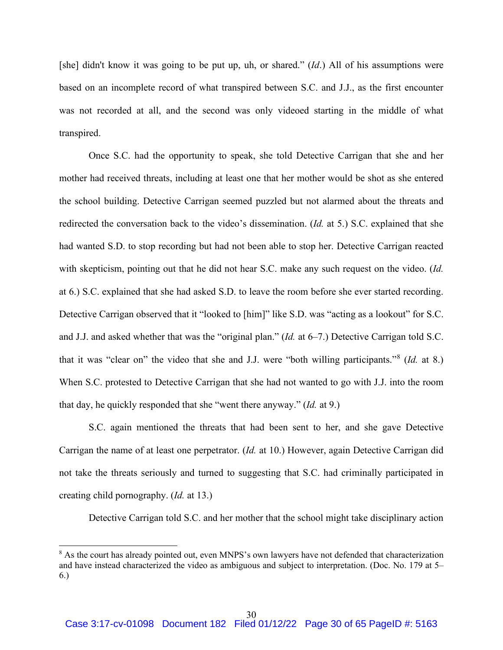[she] didn't know it was going to be put up, uh, or shared." (*Id*.) All of his assumptions were based on an incomplete record of what transpired between S.C. and J.J., as the first encounter was not recorded at all, and the second was only videoed starting in the middle of what transpired.

Once S.C. had the opportunity to speak, she told Detective Carrigan that she and her mother had received threats, including at least one that her mother would be shot as she entered the school building. Detective Carrigan seemed puzzled but not alarmed about the threats and redirected the conversation back to the video's dissemination. (*Id.* at 5.) S.C. explained that she had wanted S.D. to stop recording but had not been able to stop her. Detective Carrigan reacted with skepticism, pointing out that he did not hear S.C. make any such request on the video. (*Id.* at 6.) S.C. explained that she had asked S.D. to leave the room before she ever started recording. Detective Carrigan observed that it "looked to [him]" like S.D. was "acting as a lookout" for S.C. and J.J. and asked whether that was the "original plan." (*Id.* at 6–7.) Detective Carrigan told S.C. that it was "clear on" the video that she and J.J. were "both willing participants."<sup>8</sup> (*Id.* at 8.) When S.C. protested to Detective Carrigan that she had not wanted to go with J.J. into the room that day, he quickly responded that she "went there anyway." (*Id.* at 9.)

S.C. again mentioned the threats that had been sent to her, and she gave Detective Carrigan the name of at least one perpetrator. (*Id.* at 10.) However, again Detective Carrigan did not take the threats seriously and turned to suggesting that S.C. had criminally participated in creating child pornography. (*Id.* at 13.)

Detective Carrigan told S.C. and her mother that the school might take disciplinary action

<sup>&</sup>lt;sup>8</sup> As the court has already pointed out, even MNPS's own lawyers have not defended that characterization and have instead characterized the video as ambiguous and subject to interpretation. (Doc. No. 179 at 5– 6.)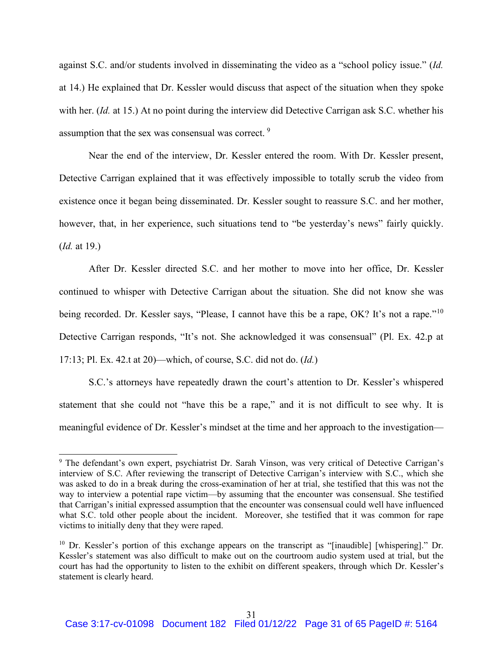against S.C. and/or students involved in disseminating the video as a "school policy issue." (*Id.* at 14.) He explained that Dr. Kessler would discuss that aspect of the situation when they spoke with her. (*Id.* at 15.) At no point during the interview did Detective Carrigan ask S.C. whether his assumption that the sex was consensual was correct. <sup>9</sup>

Near the end of the interview, Dr. Kessler entered the room. With Dr. Kessler present, Detective Carrigan explained that it was effectively impossible to totally scrub the video from existence once it began being disseminated. Dr. Kessler sought to reassure S.C. and her mother, however, that, in her experience, such situations tend to "be yesterday's news" fairly quickly. (*Id.* at 19.)

After Dr. Kessler directed S.C. and her mother to move into her office, Dr. Kessler continued to whisper with Detective Carrigan about the situation. She did not know she was being recorded. Dr. Kessler says, "Please, I cannot have this be a rape, OK? It's not a rape."<sup>10</sup> Detective Carrigan responds, "It's not. She acknowledged it was consensual" (Pl. Ex. 42.p at 17:13; Pl. Ex. 42.t at 20)—which, of course, S.C. did not do. (*Id.*)

S.C.'s attorneys have repeatedly drawn the court's attention to Dr. Kessler's whispered statement that she could not "have this be a rape," and it is not difficult to see why. It is meaningful evidence of Dr. Kessler's mindset at the time and her approach to the investigation—

<sup>&</sup>lt;sup>9</sup> The defendant's own expert, psychiatrist Dr. Sarah Vinson, was very critical of Detective Carrigan's interview of S.C. After reviewing the transcript of Detective Carrigan's interview with S.C., which she was asked to do in a break during the cross-examination of her at trial, she testified that this was not the way to interview a potential rape victim—by assuming that the encounter was consensual. She testified that Carrigan's initial expressed assumption that the encounter was consensual could well have influenced what S.C. told other people about the incident. Moreover, she testified that it was common for rape victims to initially deny that they were raped.

<sup>&</sup>lt;sup>10</sup> Dr. Kessler's portion of this exchange appears on the transcript as "[inaudible] [whispering]." Dr. Kessler's statement was also difficult to make out on the courtroom audio system used at trial, but the court has had the opportunity to listen to the exhibit on different speakers, through which Dr. Kessler's statement is clearly heard.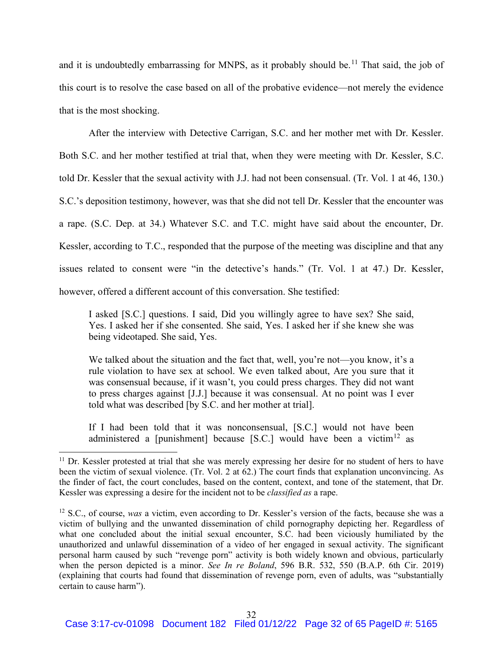and it is undoubtedly embarrassing for MNPS, as it probably should be.<sup>11</sup> That said, the job of this court is to resolve the case based on all of the probative evidence—not merely the evidence that is the most shocking.

After the interview with Detective Carrigan, S.C. and her mother met with Dr. Kessler. Both S.C. and her mother testified at trial that, when they were meeting with Dr. Kessler, S.C. told Dr. Kessler that the sexual activity with J.J. had not been consensual. (Tr. Vol. 1 at 46, 130.) S.C.'s deposition testimony, however, was that she did not tell Dr. Kessler that the encounter was a rape. (S.C. Dep. at 34.) Whatever S.C. and T.C. might have said about the encounter, Dr. Kessler, according to T.C., responded that the purpose of the meeting was discipline and that any issues related to consent were "in the detective's hands." (Tr. Vol. 1 at 47.) Dr. Kessler, however, offered a different account of this conversation. She testified:

I asked [S.C.] questions. I said, Did you willingly agree to have sex? She said, Yes. I asked her if she consented. She said, Yes. I asked her if she knew she was being videotaped. She said, Yes.

We talked about the situation and the fact that, well, you're not—you know, it's a rule violation to have sex at school. We even talked about, Are you sure that it was consensual because, if it wasn't, you could press charges. They did not want to press charges against [J.J.] because it was consensual. At no point was I ever told what was described [by S.C. and her mother at trial].

If I had been told that it was nonconsensual, [S.C.] would not have been administered a [punishment] because [S.C.] would have been a victim<sup>12</sup> as

<sup>&</sup>lt;sup>11</sup> Dr. Kessler protested at trial that she was merely expressing her desire for no student of hers to have been the victim of sexual violence. (Tr. Vol. 2 at 62.) The court finds that explanation unconvincing. As the finder of fact, the court concludes, based on the content, context, and tone of the statement, that Dr. Kessler was expressing a desire for the incident not to be *classified as* a rape.

<sup>&</sup>lt;sup>12</sup> S.C., of course, *was* a victim, even according to Dr. Kessler's version of the facts, because she was a victim of bullying and the unwanted dissemination of child pornography depicting her. Regardless of what one concluded about the initial sexual encounter, S.C. had been viciously humiliated by the unauthorized and unlawful dissemination of a video of her engaged in sexual activity. The significant personal harm caused by such "revenge porn" activity is both widely known and obvious, particularly when the person depicted is a minor. *See In re Boland*, 596 B.R. 532, 550 (B.A.P. 6th Cir. 2019) (explaining that courts had found that dissemination of revenge porn, even of adults, was "substantially certain to cause harm").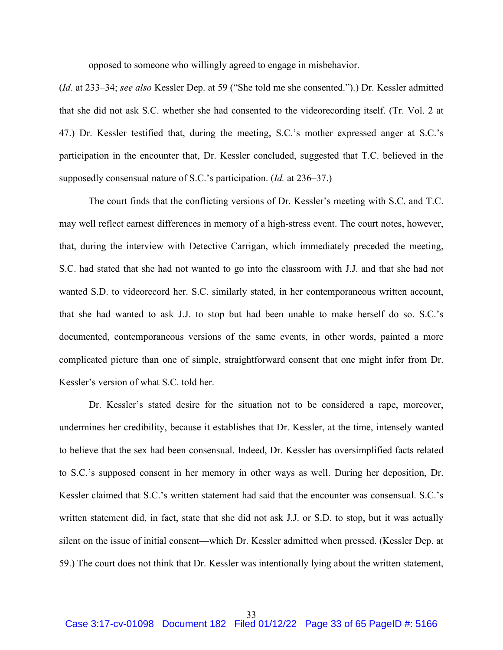opposed to someone who willingly agreed to engage in misbehavior.

(*Id.* at 233–34; *see also* Kessler Dep. at 59 ("She told me she consented.").) Dr. Kessler admitted that she did not ask S.C. whether she had consented to the videorecording itself. (Tr. Vol. 2 at 47.) Dr. Kessler testified that, during the meeting, S.C.'s mother expressed anger at S.C.'s participation in the encounter that, Dr. Kessler concluded, suggested that T.C. believed in the supposedly consensual nature of S.C.'s participation. (*Id.* at 236–37.)

The court finds that the conflicting versions of Dr. Kessler's meeting with S.C. and T.C. may well reflect earnest differences in memory of a high-stress event. The court notes, however, that, during the interview with Detective Carrigan, which immediately preceded the meeting, S.C. had stated that she had not wanted to go into the classroom with J.J. and that she had not wanted S.D. to videorecord her. S.C. similarly stated, in her contemporaneous written account, that she had wanted to ask J.J. to stop but had been unable to make herself do so. S.C.'s documented, contemporaneous versions of the same events, in other words, painted a more complicated picture than one of simple, straightforward consent that one might infer from Dr. Kessler's version of what S.C. told her.

Dr. Kessler's stated desire for the situation not to be considered a rape, moreover, undermines her credibility, because it establishes that Dr. Kessler, at the time, intensely wanted to believe that the sex had been consensual. Indeed, Dr. Kessler has oversimplified facts related to S.C.'s supposed consent in her memory in other ways as well. During her deposition, Dr. Kessler claimed that S.C.'s written statement had said that the encounter was consensual. S.C.'s written statement did, in fact, state that she did not ask J.J. or S.D. to stop, but it was actually silent on the issue of initial consent—which Dr. Kessler admitted when pressed. (Kessler Dep. at 59.) The court does not think that Dr. Kessler was intentionally lying about the written statement,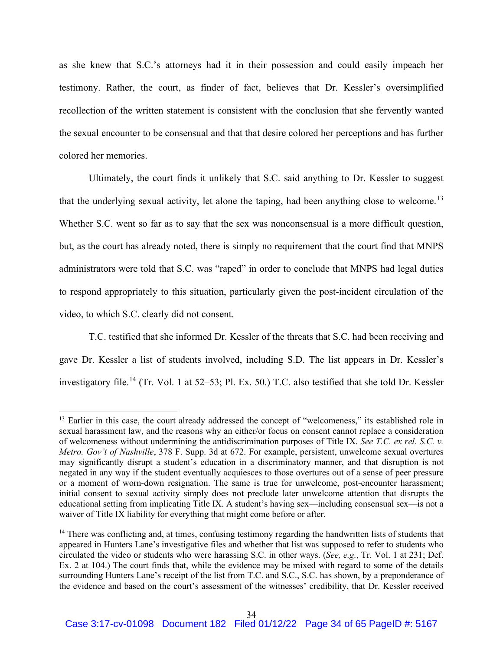as she knew that S.C.'s attorneys had it in their possession and could easily impeach her testimony. Rather, the court, as finder of fact, believes that Dr. Kessler's oversimplified recollection of the written statement is consistent with the conclusion that she fervently wanted the sexual encounter to be consensual and that that desire colored her perceptions and has further colored her memories.

Ultimately, the court finds it unlikely that S.C. said anything to Dr. Kessler to suggest that the underlying sexual activity, let alone the taping, had been anything close to welcome.<sup>13</sup> Whether S.C. went so far as to say that the sex was nonconsensual is a more difficult question, but, as the court has already noted, there is simply no requirement that the court find that MNPS administrators were told that S.C. was "raped" in order to conclude that MNPS had legal duties to respond appropriately to this situation, particularly given the post-incident circulation of the video, to which S.C. clearly did not consent.

T.C. testified that she informed Dr. Kessler of the threats that S.C. had been receiving and gave Dr. Kessler a list of students involved, including S.D. The list appears in Dr. Kessler's investigatory file.<sup>14</sup> (Tr. Vol. 1 at 52–53; Pl. Ex. 50.) T.C. also testified that she told Dr. Kessler

<sup>&</sup>lt;sup>13</sup> Earlier in this case, the court already addressed the concept of "welcomeness," its established role in sexual harassment law, and the reasons why an either/or focus on consent cannot replace a consideration of welcomeness without undermining the antidiscrimination purposes of Title IX. *See T.C. ex rel. S.C. v. Metro. Gov't of Nashville*, 378 F. Supp. 3d at 672. For example, persistent, unwelcome sexual overtures may significantly disrupt a student's education in a discriminatory manner, and that disruption is not negated in any way if the student eventually acquiesces to those overtures out of a sense of peer pressure or a moment of worn-down resignation. The same is true for unwelcome, post-encounter harassment; initial consent to sexual activity simply does not preclude later unwelcome attention that disrupts the educational setting from implicating Title IX. A student's having sex—including consensual sex—is not a waiver of Title IX liability for everything that might come before or after.

<sup>&</sup>lt;sup>14</sup> There was conflicting and, at times, confusing testimony regarding the handwritten lists of students that appeared in Hunters Lane's investigative files and whether that list was supposed to refer to students who circulated the video or students who were harassing S.C. in other ways. (*See, e.g.*, Tr. Vol. 1 at 231; Def. Ex. 2 at 104.) The court finds that, while the evidence may be mixed with regard to some of the details surrounding Hunters Lane's receipt of the list from T.C. and S.C., S.C. has shown, by a preponderance of the evidence and based on the court's assessment of the witnesses' credibility, that Dr. Kessler received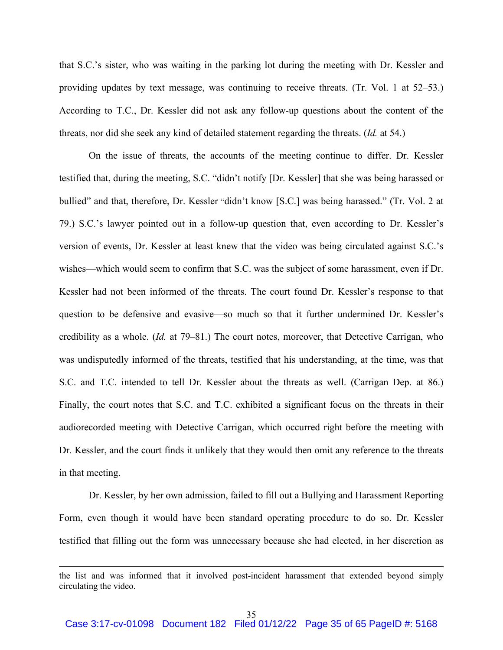that S.C.'s sister, who was waiting in the parking lot during the meeting with Dr. Kessler and providing updates by text message, was continuing to receive threats. (Tr. Vol. 1 at 52–53.) According to T.C., Dr. Kessler did not ask any follow-up questions about the content of the threats, nor did she seek any kind of detailed statement regarding the threats. (*Id.* at 54.)

On the issue of threats, the accounts of the meeting continue to differ. Dr. Kessler testified that, during the meeting, S.C. "didn't notify [Dr. Kessler] that she was being harassed or bullied" and that, therefore, Dr. Kessler "didn't know [S.C.] was being harassed." (Tr. Vol. 2 at 79.) S.C.'s lawyer pointed out in a follow-up question that, even according to Dr. Kessler's version of events, Dr. Kessler at least knew that the video was being circulated against S.C.'s wishes—which would seem to confirm that S.C. was the subject of some harassment, even if Dr. Kessler had not been informed of the threats. The court found Dr. Kessler's response to that question to be defensive and evasive—so much so that it further undermined Dr. Kessler's credibility as a whole. (*Id.* at 79–81.) The court notes, moreover, that Detective Carrigan, who was undisputedly informed of the threats, testified that his understanding, at the time, was that S.C. and T.C. intended to tell Dr. Kessler about the threats as well. (Carrigan Dep. at 86.) Finally, the court notes that S.C. and T.C. exhibited a significant focus on the threats in their audiorecorded meeting with Detective Carrigan, which occurred right before the meeting with Dr. Kessler, and the court finds it unlikely that they would then omit any reference to the threats in that meeting.

Dr. Kessler, by her own admission, failed to fill out a Bullying and Harassment Reporting Form, even though it would have been standard operating procedure to do so. Dr. Kessler testified that filling out the form was unnecessary because she had elected, in her discretion as

the list and was informed that it involved post-incident harassment that extended beyond simply circulating the video.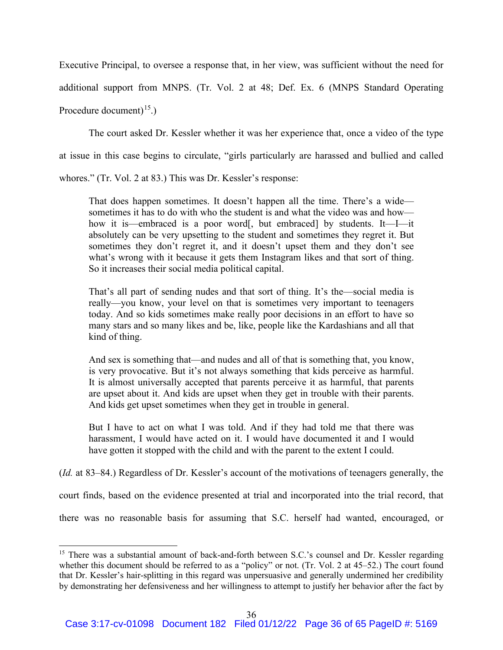Executive Principal, to oversee a response that, in her view, was sufficient without the need for additional support from MNPS. (Tr. Vol. 2 at 48; Def. Ex. 6 (MNPS Standard Operating Procedure document)<sup>15</sup>.)

The court asked Dr. Kessler whether it was her experience that, once a video of the type at issue in this case begins to circulate, "girls particularly are harassed and bullied and called

whores." (Tr. Vol. 2 at 83.) This was Dr. Kessler's response:

That does happen sometimes. It doesn't happen all the time. There's a wide sometimes it has to do with who the student is and what the video was and how how it is—embraced is a poor word[, but embraced] by students. It—I—it absolutely can be very upsetting to the student and sometimes they regret it. But sometimes they don't regret it, and it doesn't upset them and they don't see what's wrong with it because it gets them Instagram likes and that sort of thing. So it increases their social media political capital.

That's all part of sending nudes and that sort of thing. It's the—social media is really—you know, your level on that is sometimes very important to teenagers today. And so kids sometimes make really poor decisions in an effort to have so many stars and so many likes and be, like, people like the Kardashians and all that kind of thing.

And sex is something that—and nudes and all of that is something that, you know, is very provocative. But it's not always something that kids perceive as harmful. It is almost universally accepted that parents perceive it as harmful, that parents are upset about it. And kids are upset when they get in trouble with their parents. And kids get upset sometimes when they get in trouble in general.

But I have to act on what I was told. And if they had told me that there was harassment, I would have acted on it. I would have documented it and I would have gotten it stopped with the child and with the parent to the extent I could.

(*Id.* at 83–84.) Regardless of Dr. Kessler's account of the motivations of teenagers generally, the

court finds, based on the evidence presented at trial and incorporated into the trial record, that

there was no reasonable basis for assuming that S.C. herself had wanted, encouraged, or

<sup>&</sup>lt;sup>15</sup> There was a substantial amount of back-and-forth between S.C.'s counsel and Dr. Kessler regarding whether this document should be referred to as a "policy" or not. (Tr. Vol. 2 at 45–52.) The court found that Dr. Kessler's hair-splitting in this regard was unpersuasive and generally undermined her credibility by demonstrating her defensiveness and her willingness to attempt to justify her behavior after the fact by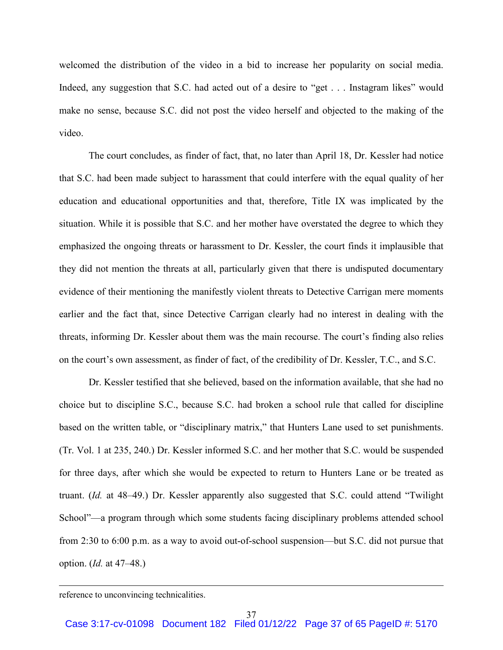welcomed the distribution of the video in a bid to increase her popularity on social media. Indeed, any suggestion that S.C. had acted out of a desire to "get . . . Instagram likes" would make no sense, because S.C. did not post the video herself and objected to the making of the video.

The court concludes, as finder of fact, that, no later than April 18, Dr. Kessler had notice that S.C. had been made subject to harassment that could interfere with the equal quality of her education and educational opportunities and that, therefore, Title IX was implicated by the situation. While it is possible that S.C. and her mother have overstated the degree to which they emphasized the ongoing threats or harassment to Dr. Kessler, the court finds it implausible that they did not mention the threats at all, particularly given that there is undisputed documentary evidence of their mentioning the manifestly violent threats to Detective Carrigan mere moments earlier and the fact that, since Detective Carrigan clearly had no interest in dealing with the threats, informing Dr. Kessler about them was the main recourse. The court's finding also relies on the court's own assessment, as finder of fact, of the credibility of Dr. Kessler, T.C., and S.C.

Dr. Kessler testified that she believed, based on the information available, that she had no choice but to discipline S.C., because S.C. had broken a school rule that called for discipline based on the written table, or "disciplinary matrix," that Hunters Lane used to set punishments. (Tr. Vol. 1 at 235, 240.) Dr. Kessler informed S.C. and her mother that S.C. would be suspended for three days, after which she would be expected to return to Hunters Lane or be treated as truant. (*Id.* at 48–49.) Dr. Kessler apparently also suggested that S.C. could attend "Twilight School"—a program through which some students facing disciplinary problems attended school from 2:30 to 6:00 p.m. as a way to avoid out-of-school suspension—but S.C. did not pursue that option. (*Id.* at 47–48.)

reference to unconvincing technicalities.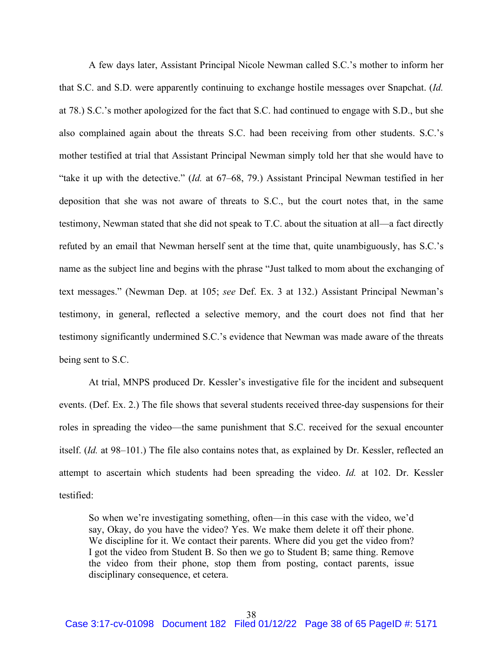A few days later, Assistant Principal Nicole Newman called S.C.'s mother to inform her that S.C. and S.D. were apparently continuing to exchange hostile messages over Snapchat. (*Id.* at 78.) S.C.'s mother apologized for the fact that S.C. had continued to engage with S.D., but she also complained again about the threats S.C. had been receiving from other students. S.C.'s mother testified at trial that Assistant Principal Newman simply told her that she would have to "take it up with the detective." (*Id.* at 67–68, 79.) Assistant Principal Newman testified in her deposition that she was not aware of threats to S.C., but the court notes that, in the same testimony, Newman stated that she did not speak to T.C. about the situation at all—a fact directly refuted by an email that Newman herself sent at the time that, quite unambiguously, has S.C.'s name as the subject line and begins with the phrase "Just talked to mom about the exchanging of text messages." (Newman Dep. at 105; *see* Def. Ex. 3 at 132.) Assistant Principal Newman's testimony, in general, reflected a selective memory, and the court does not find that her testimony significantly undermined S.C.'s evidence that Newman was made aware of the threats being sent to S.C.

At trial, MNPS produced Dr. Kessler's investigative file for the incident and subsequent events. (Def. Ex. 2.) The file shows that several students received three-day suspensions for their roles in spreading the video—the same punishment that S.C. received for the sexual encounter itself. (*Id.* at 98–101.) The file also contains notes that, as explained by Dr. Kessler, reflected an attempt to ascertain which students had been spreading the video. *Id.* at 102. Dr. Kessler testified:

So when we're investigating something, often—in this case with the video, we'd say, Okay, do you have the video? Yes. We make them delete it off their phone. We discipline for it. We contact their parents. Where did you get the video from? I got the video from Student B. So then we go to Student B; same thing. Remove the video from their phone, stop them from posting, contact parents, issue disciplinary consequence, et cetera.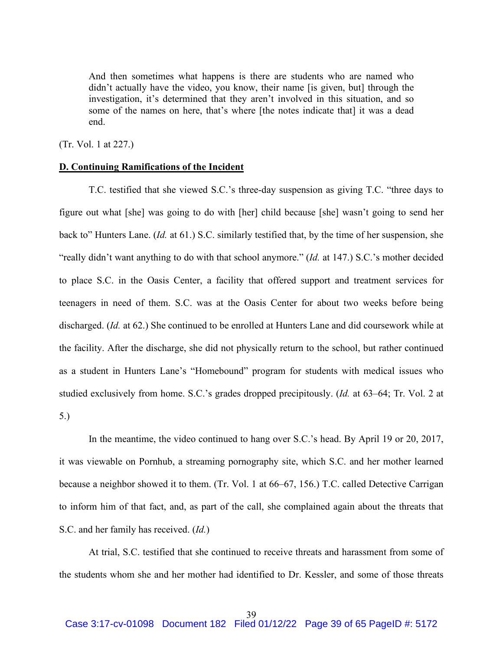And then sometimes what happens is there are students who are named who didn't actually have the video, you know, their name [is given, but] through the investigation, it's determined that they aren't involved in this situation, and so some of the names on here, that's where [the notes indicate that] it was a dead end.

(Tr. Vol. 1 at 227.)

## **D. Continuing Ramifications of the Incident**

T.C. testified that she viewed S.C.'s three-day suspension as giving T.C. "three days to figure out what [she] was going to do with [her] child because [she] wasn't going to send her back to" Hunters Lane. (*Id.* at 61.) S.C. similarly testified that, by the time of her suspension, she "really didn't want anything to do with that school anymore." (*Id.* at 147.) S.C.'s mother decided to place S.C. in the Oasis Center, a facility that offered support and treatment services for teenagers in need of them. S.C. was at the Oasis Center for about two weeks before being discharged. (*Id.* at 62.) She continued to be enrolled at Hunters Lane and did coursework while at the facility. After the discharge, she did not physically return to the school, but rather continued as a student in Hunters Lane's "Homebound" program for students with medical issues who studied exclusively from home. S.C.'s grades dropped precipitously. (*Id.* at 63–64; Tr. Vol. 2 at 5.)

In the meantime, the video continued to hang over S.C.'s head. By April 19 or 20, 2017, it was viewable on Pornhub, a streaming pornography site, which S.C. and her mother learned because a neighbor showed it to them. (Tr. Vol. 1 at 66–67, 156.) T.C. called Detective Carrigan to inform him of that fact, and, as part of the call, she complained again about the threats that S.C. and her family has received. (*Id.*)

At trial, S.C. testified that she continued to receive threats and harassment from some of the students whom she and her mother had identified to Dr. Kessler, and some of those threats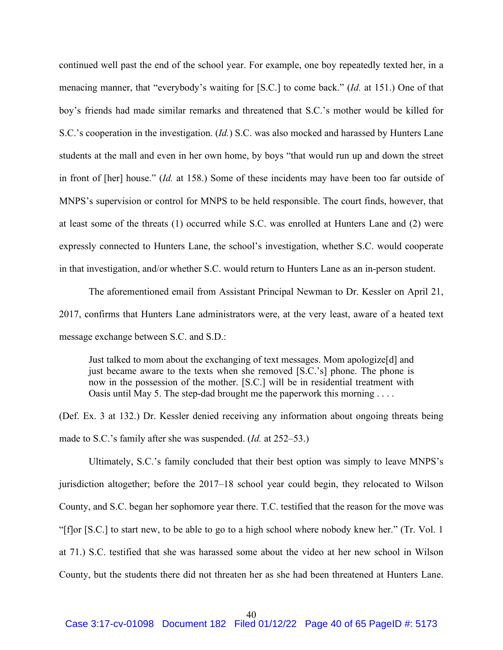continued well past the end of the school year. For example, one boy repeatedly texted her, in a menacing manner, that "everybody's waiting for [S.C.] to come back." (*Id.* at 151.) One of that boy's friends had made similar remarks and threatened that S.C.'s mother would be killed for S.C.'s cooperation in the investigation. (*Id.*) S.C. was also mocked and harassed by Hunters Lane students at the mall and even in her own home, by boys "that would run up and down the street in front of [her] house." (*Id.* at 158.) Some of these incidents may have been too far outside of MNPS's supervision or control for MNPS to be held responsible. The court finds, however, that at least some of the threats (1) occurred while S.C. was enrolled at Hunters Lane and (2) were expressly connected to Hunters Lane, the school's investigation, whether S.C. would cooperate in that investigation, and/or whether S.C. would return to Hunters Lane as an in-person student.

The aforementioned email from Assistant Principal Newman to Dr. Kessler on April 21, 2017, confirms that Hunters Lane administrators were, at the very least, aware of a heated text message exchange between S.C. and S.D.:

Just talked to mom about the exchanging of text messages. Mom apologize[d] and just became aware to the texts when she removed [S.C.'s] phone. The phone is now in the possession of the mother. [S.C.] will be in residential treatment with Oasis until May 5. The step-dad brought me the paperwork this morning  $\dots$ 

(Def. Ex. 3 at 132.) Dr. Kessler denied receiving any information about ongoing threats being made to S.C.'s family after she was suspended. (*Id.* at 252–53.)

Ultimately, S.C.'s family concluded that their best option was simply to leave MNPS's jurisdiction altogether; before the 2017–18 school year could begin, they relocated to Wilson County, and S.C. began her sophomore year there. T.C. testified that the reason for the move was "[f]or [S.C.] to start new, to be able to go to a high school where nobody knew her." (Tr. Vol. 1 at 71.) S.C. testified that she was harassed some about the video at her new school in Wilson County, but the students there did not threaten her as she had been threatened at Hunters Lane.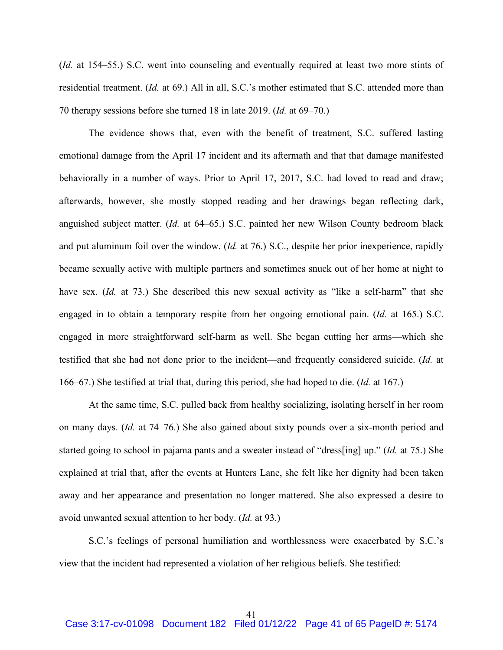(*Id.* at 154–55.) S.C. went into counseling and eventually required at least two more stints of residential treatment. (*Id.* at 69.) All in all, S.C.'s mother estimated that S.C. attended more than 70 therapy sessions before she turned 18 in late 2019. (*Id.* at 69–70.)

The evidence shows that, even with the benefit of treatment, S.C. suffered lasting emotional damage from the April 17 incident and its aftermath and that that damage manifested behaviorally in a number of ways. Prior to April 17, 2017, S.C. had loved to read and draw; afterwards, however, she mostly stopped reading and her drawings began reflecting dark, anguished subject matter. (*Id.* at 64–65.) S.C. painted her new Wilson County bedroom black and put aluminum foil over the window. (*Id.* at 76.) S.C., despite her prior inexperience, rapidly became sexually active with multiple partners and sometimes snuck out of her home at night to have sex. *(Id.* at 73.) She described this new sexual activity as "like a self-harm" that she engaged in to obtain a temporary respite from her ongoing emotional pain. (*Id.* at 165.) S.C. engaged in more straightforward self-harm as well. She began cutting her arms—which she testified that she had not done prior to the incident—and frequently considered suicide. (*Id.* at 166–67.) She testified at trial that, during this period, she had hoped to die. (*Id.* at 167.)

At the same time, S.C. pulled back from healthy socializing, isolating herself in her room on many days. (*Id.* at 74–76.) She also gained about sixty pounds over a six-month period and started going to school in pajama pants and a sweater instead of "dress[ing] up." (*Id.* at 75.) She explained at trial that, after the events at Hunters Lane, she felt like her dignity had been taken away and her appearance and presentation no longer mattered. She also expressed a desire to avoid unwanted sexual attention to her body. (*Id.* at 93.)

S.C.'s feelings of personal humiliation and worthlessness were exacerbated by S.C.'s view that the incident had represented a violation of her religious beliefs. She testified: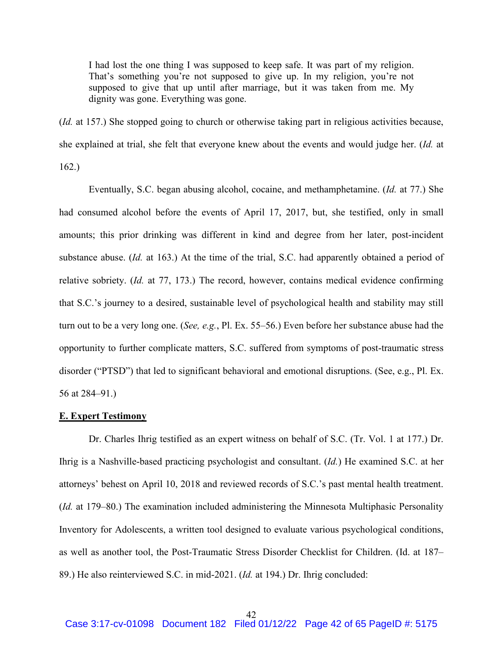I had lost the one thing I was supposed to keep safe. It was part of my religion. That's something you're not supposed to give up. In my religion, you're not supposed to give that up until after marriage, but it was taken from me. My dignity was gone. Everything was gone.

(*Id.* at 157.) She stopped going to church or otherwise taking part in religious activities because, she explained at trial, she felt that everyone knew about the events and would judge her. (*Id.* at 162.)

Eventually, S.C. began abusing alcohol, cocaine, and methamphetamine. (*Id.* at 77.) She had consumed alcohol before the events of April 17, 2017, but, she testified, only in small amounts; this prior drinking was different in kind and degree from her later, post-incident substance abuse. (*Id.* at 163.) At the time of the trial, S.C. had apparently obtained a period of relative sobriety. (*Id.* at 77, 173.) The record, however, contains medical evidence confirming that S.C.'s journey to a desired, sustainable level of psychological health and stability may still turn out to be a very long one. (*See, e.g.*, Pl. Ex. 55–56.) Even before her substance abuse had the opportunity to further complicate matters, S.C. suffered from symptoms of post-traumatic stress disorder ("PTSD") that led to significant behavioral and emotional disruptions. (See, e.g., Pl. Ex. 56 at 284–91.)

#### **E. Expert Testimony**

Dr. Charles Ihrig testified as an expert witness on behalf of S.C. (Tr. Vol. 1 at 177.) Dr. Ihrig is a Nashville-based practicing psychologist and consultant. (*Id.*) He examined S.C. at her attorneys' behest on April 10, 2018 and reviewed records of S.C.'s past mental health treatment. (*Id.* at 179–80.) The examination included administering the Minnesota Multiphasic Personality Inventory for Adolescents, a written tool designed to evaluate various psychological conditions, as well as another tool, the Post-Traumatic Stress Disorder Checklist for Children. (Id. at 187– 89.) He also reinterviewed S.C. in mid-2021. (*Id.* at 194.) Dr. Ihrig concluded: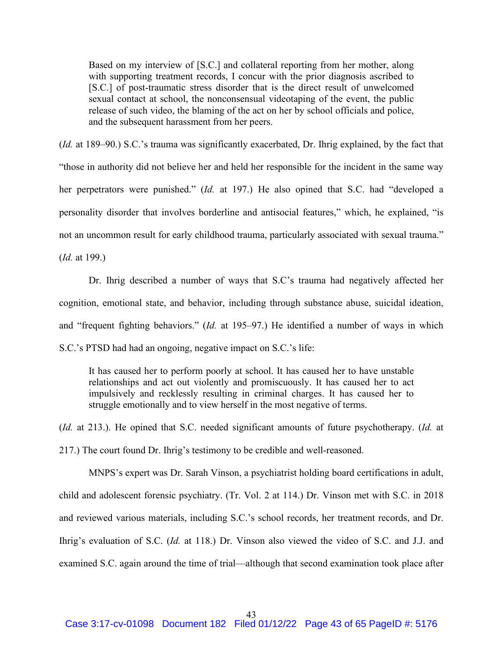Based on my interview of [S.C.] and collateral reporting from her mother, along with supporting treatment records, I concur with the prior diagnosis ascribed to [S.C.] of post-traumatic stress disorder that is the direct result of unwelcomed sexual contact at school, the nonconsensual videotaping of the event, the public release of such video, the blaming of the act on her by school officials and police, and the subsequent harassment from her peers.

(*Id.* at 189–90.) S.C.'s trauma was significantly exacerbated, Dr. Ihrig explained, by the fact that "those in authority did not believe her and held her responsible for the incident in the same way her perpetrators were punished." (*Id.* at 197.) He also opined that S.C. had "developed a personality disorder that involves borderline and antisocial features," which, he explained, "is not an uncommon result for early childhood trauma, particularly associated with sexual trauma."

(*Id.* at 199.)

Dr. Ihrig described a number of ways that S.C's trauma had negatively affected her cognition, emotional state, and behavior, including through substance abuse, suicidal ideation, and "frequent fighting behaviors." (*Id.* at 195–97.) He identified a number of ways in which S.C.'s PTSD had had an ongoing, negative impact on S.C.'s life:

It has caused her to perform poorly at school. It has caused her to have unstable relationships and act out violently and promiscuously. It has caused her to act impulsively and recklessly resulting in criminal charges. It has caused her to struggle emotionally and to view herself in the most negative of terms.

(*Id.* at 213.). He opined that S.C. needed significant amounts of future psychotherapy. (*Id.* at 217.) The court found Dr. Ihrig's testimony to be credible and well-reasoned.

MNPS's expert was Dr. Sarah Vinson, a psychiatrist holding board certifications in adult, child and adolescent forensic psychiatry. (Tr. Vol. 2 at 114.) Dr. Vinson met with S.C. in 2018 and reviewed various materials, including S.C.'s school records, her treatment records, and Dr. Ihrig's evaluation of S.C. (*Id.* at 118.) Dr. Vinson also viewed the video of S.C. and J.J. and examined S.C. again around the time of trial—although that second examination took place after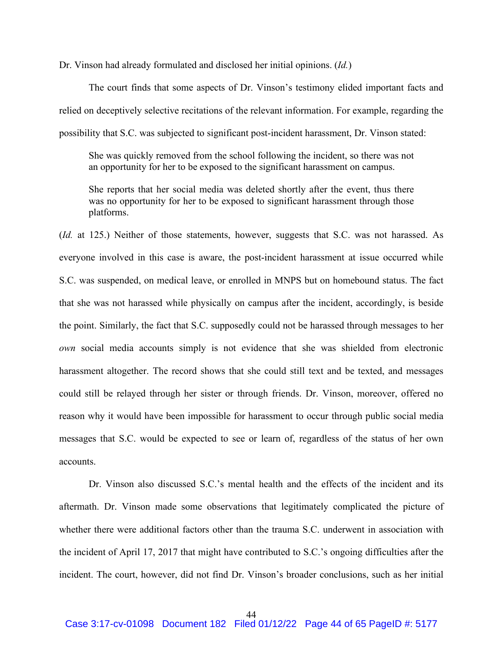Dr. Vinson had already formulated and disclosed her initial opinions. (*Id.*)

The court finds that some aspects of Dr. Vinson's testimony elided important facts and relied on deceptively selective recitations of the relevant information. For example, regarding the possibility that S.C. was subjected to significant post-incident harassment, Dr. Vinson stated:

She was quickly removed from the school following the incident, so there was not an opportunity for her to be exposed to the significant harassment on campus.

She reports that her social media was deleted shortly after the event, thus there was no opportunity for her to be exposed to significant harassment through those platforms.

(*Id.* at 125.) Neither of those statements, however, suggests that S.C. was not harassed. As everyone involved in this case is aware, the post-incident harassment at issue occurred while S.C. was suspended, on medical leave, or enrolled in MNPS but on homebound status. The fact that she was not harassed while physically on campus after the incident, accordingly, is beside the point. Similarly, the fact that S.C. supposedly could not be harassed through messages to her *own* social media accounts simply is not evidence that she was shielded from electronic harassment altogether. The record shows that she could still text and be texted, and messages could still be relayed through her sister or through friends. Dr. Vinson, moreover, offered no reason why it would have been impossible for harassment to occur through public social media messages that S.C. would be expected to see or learn of, regardless of the status of her own accounts.

Dr. Vinson also discussed S.C.'s mental health and the effects of the incident and its aftermath. Dr. Vinson made some observations that legitimately complicated the picture of whether there were additional factors other than the trauma S.C. underwent in association with the incident of April 17, 2017 that might have contributed to S.C.'s ongoing difficulties after the incident. The court, however, did not find Dr. Vinson's broader conclusions, such as her initial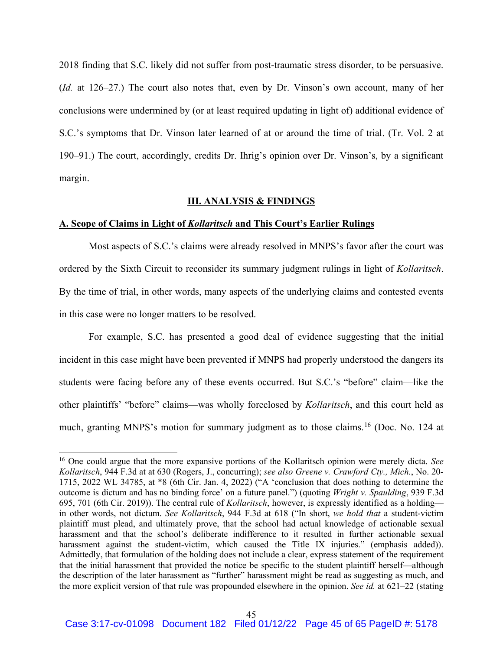2018 finding that S.C. likely did not suffer from post-traumatic stress disorder, to be persuasive. (*Id.* at 126–27.) The court also notes that, even by Dr. Vinson's own account, many of her conclusions were undermined by (or at least required updating in light of) additional evidence of S.C.'s symptoms that Dr. Vinson later learned of at or around the time of trial. (Tr. Vol. 2 at 190–91.) The court, accordingly, credits Dr. Ihrig's opinion over Dr. Vinson's, by a significant margin.

#### **III. ANALYSIS & FINDINGS**

### **A. Scope of Claims in Light of** *Kollaritsch* **and This Court's Earlier Rulings**

Most aspects of S.C.'s claims were already resolved in MNPS's favor after the court was ordered by the Sixth Circuit to reconsider its summary judgment rulings in light of *Kollaritsch*. By the time of trial, in other words, many aspects of the underlying claims and contested events in this case were no longer matters to be resolved.

For example, S.C. has presented a good deal of evidence suggesting that the initial incident in this case might have been prevented if MNPS had properly understood the dangers its students were facing before any of these events occurred. But S.C.'s "before" claim—like the other plaintiffs' "before" claims—was wholly foreclosed by *Kollaritsch*, and this court held as much, granting MNPS's motion for summary judgment as to those claims. <sup>16</sup> (Doc. No. 124 at

<sup>16</sup> One could argue that the more expansive portions of the Kollaritsch opinion were merely dicta. *See Kollaritsch*, 944 F.3d at at 630 (Rogers, J., concurring); *see also Greene v. Crawford Cty., Mich.*, No. 20- 1715, 2022 WL 34785, at \*8 (6th Cir. Jan. 4, 2022) ("A 'conclusion that does nothing to determine the outcome is dictum and has no binding force' on a future panel.") (quoting *Wright v. Spaulding*, 939 F.3d 695, 701 (6th Cir. 2019)). The central rule of *Kollaritsch*, however, is expressly identified as a holding in other words, not dictum. *See Kollaritsch*, 944 F.3d at 618 ("In short, *we hold that* a student-victim plaintiff must plead, and ultimately prove, that the school had actual knowledge of actionable sexual harassment and that the school's deliberate indifference to it resulted in further actionable sexual harassment against the student-victim, which caused the Title IX injuries." (emphasis added)). Admittedly, that formulation of the holding does not include a clear, express statement of the requirement that the initial harassment that provided the notice be specific to the student plaintiff herself—although the description of the later harassment as "further" harassment might be read as suggesting as much, and the more explicit version of that rule was propounded elsewhere in the opinion. *See id.* at 621–22 (stating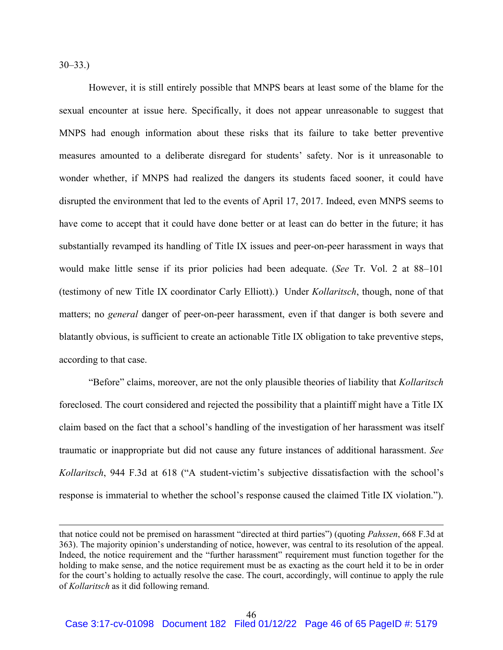$30 - 33.$ 

However, it is still entirely possible that MNPS bears at least some of the blame for the sexual encounter at issue here. Specifically, it does not appear unreasonable to suggest that MNPS had enough information about these risks that its failure to take better preventive measures amounted to a deliberate disregard for students' safety. Nor is it unreasonable to wonder whether, if MNPS had realized the dangers its students faced sooner, it could have disrupted the environment that led to the events of April 17, 2017. Indeed, even MNPS seems to have come to accept that it could have done better or at least can do better in the future; it has substantially revamped its handling of Title IX issues and peer-on-peer harassment in ways that would make little sense if its prior policies had been adequate. (*See* Tr. Vol. 2 at 88–101 (testimony of new Title IX coordinator Carly Elliott).) Under *Kollaritsch*, though, none of that matters; no *general* danger of peer-on-peer harassment, even if that danger is both severe and blatantly obvious, is sufficient to create an actionable Title IX obligation to take preventive steps, according to that case.

"Before" claims, moreover, are not the only plausible theories of liability that *Kollaritsch* foreclosed. The court considered and rejected the possibility that a plaintiff might have a Title IX claim based on the fact that a school's handling of the investigation of her harassment was itself traumatic or inappropriate but did not cause any future instances of additional harassment. *See Kollaritsch*, 944 F.3d at 618 ("A student-victim's subjective dissatisfaction with the school's response is immaterial to whether the school's response caused the claimed Title IX violation.").

that notice could not be premised on harassment "directed at third parties") (quoting *Pahssen*, 668 F.3d at 363). The majority opinion's understanding of notice, however, was central to its resolution of the appeal. Indeed, the notice requirement and the "further harassment" requirement must function together for the holding to make sense, and the notice requirement must be as exacting as the court held it to be in order for the court's holding to actually resolve the case. The court, accordingly, will continue to apply the rule of *Kollaritsch* as it did following remand.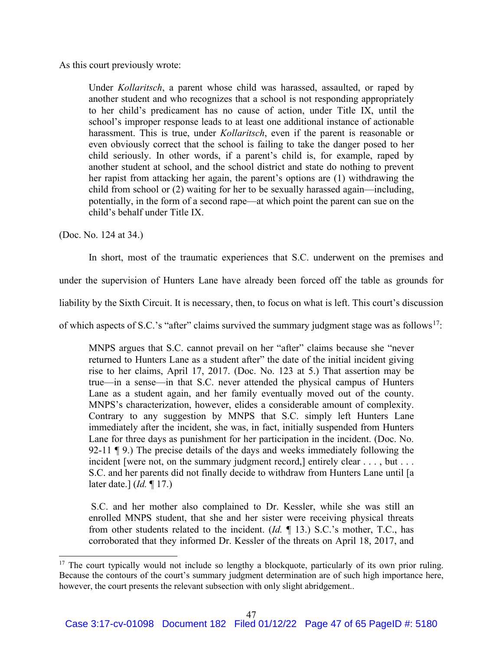As this court previously wrote:

Under *Kollaritsch*, a parent whose child was harassed, assaulted, or raped by another student and who recognizes that a school is not responding appropriately to her child's predicament has no cause of action, under Title IX, until the school's improper response leads to at least one additional instance of actionable harassment. This is true, under *Kollaritsch*, even if the parent is reasonable or even obviously correct that the school is failing to take the danger posed to her child seriously. In other words, if a parent's child is, for example, raped by another student at school, and the school district and state do nothing to prevent her rapist from attacking her again, the parent's options are (1) withdrawing the child from school or (2) waiting for her to be sexually harassed again—including, potentially, in the form of a second rape—at which point the parent can sue on the child's behalf under Title IX.

(Doc. No. 124 at 34.)

In short, most of the traumatic experiences that S.C. underwent on the premises and

under the supervision of Hunters Lane have already been forced off the table as grounds for

liability by the Sixth Circuit. It is necessary, then, to focus on what is left. This court's discussion

of which aspects of S.C.'s "after" claims survived the summary judgment stage was as follows<sup>17</sup>:

MNPS argues that S.C. cannot prevail on her "after" claims because she "never returned to Hunters Lane as a student after" the date of the initial incident giving rise to her claims, April 17, 2017. (Doc. No. 123 at 5.) That assertion may be true—in a sense—in that S.C. never attended the physical campus of Hunters Lane as a student again, and her family eventually moved out of the county. MNPS's characterization, however, elides a considerable amount of complexity. Contrary to any suggestion by MNPS that S.C. simply left Hunters Lane immediately after the incident, she was, in fact, initially suspended from Hunters Lane for three days as punishment for her participation in the incident. (Doc. No. 92-11 ¶ 9.) The precise details of the days and weeks immediately following the incident [were not, on the summary judgment record,] entirely clear . . . , but . . . S.C. and her parents did not finally decide to withdraw from Hunters Lane until [a later date.] (*Id.* ¶ 17.)

S.C. and her mother also complained to Dr. Kessler, while she was still an enrolled MNPS student, that she and her sister were receiving physical threats from other students related to the incident. (*Id.* ¶ 13.) S.C.'s mother, T.C., has corroborated that they informed Dr. Kessler of the threats on April 18, 2017, and

<sup>&</sup>lt;sup>17</sup> The court typically would not include so lengthy a blockquote, particularly of its own prior ruling. Because the contours of the court's summary judgment determination are of such high importance here, however, the court presents the relevant subsection with only slight abridgement..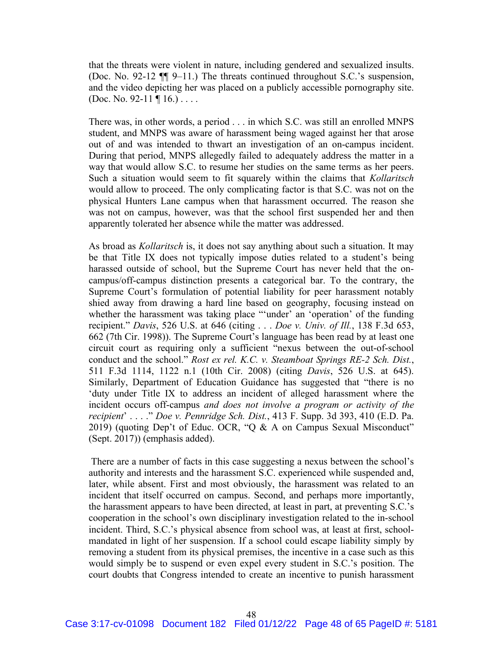that the threats were violent in nature, including gendered and sexualized insults. (Doc. No. 92-12 ¶¶ 9–11.) The threats continued throughout S.C.'s suspension, and the video depicting her was placed on a publicly accessible pornography site. (Doc. No. 92-11  $\P$  16.) ....

There was, in other words, a period . . . in which S.C. was still an enrolled MNPS student, and MNPS was aware of harassment being waged against her that arose out of and was intended to thwart an investigation of an on-campus incident. During that period, MNPS allegedly failed to adequately address the matter in a way that would allow S.C. to resume her studies on the same terms as her peers. Such a situation would seem to fit squarely within the claims that *Kollaritsch*  would allow to proceed. The only complicating factor is that S.C. was not on the physical Hunters Lane campus when that harassment occurred. The reason she was not on campus, however, was that the school first suspended her and then apparently tolerated her absence while the matter was addressed.

As broad as *Kollaritsch* is, it does not say anything about such a situation. It may be that Title IX does not typically impose duties related to a student's being harassed outside of school, but the Supreme Court has never held that the oncampus/off-campus distinction presents a categorical bar. To the contrary, the Supreme Court's formulation of potential liability for peer harassment notably shied away from drawing a hard line based on geography, focusing instead on whether the harassment was taking place "'under' an 'operation' of the funding recipient." *Davis*, 526 U.S. at 646 (citing . . . *Doe v. Univ. of Ill.*, 138 F.3d 653, 662 (7th Cir. 1998)). The Supreme Court's language has been read by at least one circuit court as requiring only a sufficient "nexus between the out-of-school conduct and the school." *Rost ex rel. K.C. v. Steamboat Springs RE-2 Sch. Dist.*, 511 F.3d 1114, 1122 n.1 (10th Cir. 2008) (citing *Davis*, 526 U.S. at 645). Similarly, Department of Education Guidance has suggested that "there is no 'duty under Title IX to address an incident of alleged harassment where the incident occurs off-campus *and does not involve a program or activity of the recipient*' . . . ." *Doe v. Pennridge Sch. Dist.*, 413 F. Supp. 3d 393, 410 (E.D. Pa. 2019) (quoting Dep't of Educ. OCR, "Q & A on Campus Sexual Misconduct" (Sept. 2017)) (emphasis added).

There are a number of facts in this case suggesting a nexus between the school's authority and interests and the harassment S.C. experienced while suspended and, later, while absent. First and most obviously, the harassment was related to an incident that itself occurred on campus. Second, and perhaps more importantly, the harassment appears to have been directed, at least in part, at preventing S.C.'s cooperation in the school's own disciplinary investigation related to the in-school incident. Third, S.C.'s physical absence from school was, at least at first, schoolmandated in light of her suspension. If a school could escape liability simply by removing a student from its physical premises, the incentive in a case such as this would simply be to suspend or even expel every student in S.C.'s position. The court doubts that Congress intended to create an incentive to punish harassment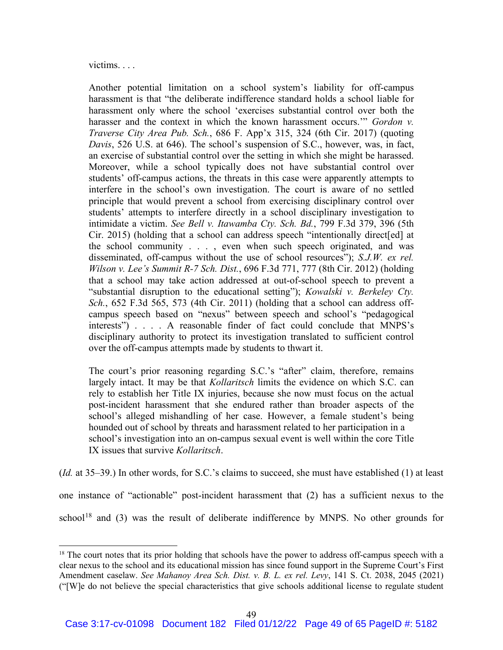victims. . . .

Another potential limitation on a school system's liability for off-campus harassment is that "the deliberate indifference standard holds a school liable for harassment only where the school 'exercises substantial control over both the harasser and the context in which the known harassment occurs.'" *Gordon v. Traverse City Area Pub. Sch.*, 686 F. App'x 315, 324 (6th Cir. 2017) (quoting *Davis*, 526 U.S. at 646). The school's suspension of S.C., however, was, in fact, an exercise of substantial control over the setting in which she might be harassed. Moreover, while a school typically does not have substantial control over students' off-campus actions, the threats in this case were apparently attempts to interfere in the school's own investigation. The court is aware of no settled principle that would prevent a school from exercising disciplinary control over students' attempts to interfere directly in a school disciplinary investigation to intimidate a victim. *See Bell v. Itawamba Cty. Sch. Bd.*, 799 F.3d 379, 396 (5th Cir. 2015) (holding that a school can address speech "intentionally direct[ed] at the school community . . . , even when such speech originated, and was disseminated, off-campus without the use of school resources"); *S.J.W. ex rel. Wilson v. Lee's Summit R-7 Sch. Dist.*, 696 F.3d 771, 777 (8th Cir. 2012) (holding that a school may take action addressed at out-of-school speech to prevent a "substantial disruption to the educational setting"); *Kowalski v. Berkeley Cty. Sch.*, 652 F.3d 565, 573 (4th Cir. 2011) (holding that a school can address offcampus speech based on "nexus" between speech and school's "pedagogical interests") . . . . A reasonable finder of fact could conclude that MNPS's disciplinary authority to protect its investigation translated to sufficient control over the off-campus attempts made by students to thwart it.

The court's prior reasoning regarding S.C.'s "after" claim, therefore, remains largely intact. It may be that *Kollaritsch* limits the evidence on which S.C. can rely to establish her Title IX injuries, because she now must focus on the actual post-incident harassment that she endured rather than broader aspects of the school's alleged mishandling of her case. However, a female student's being hounded out of school by threats and harassment related to her participation in a school's investigation into an on-campus sexual event is well within the core Title IX issues that survive *Kollaritsch*.

(*Id.* at 35–39.) In other words, for S.C.'s claims to succeed, she must have established (1) at least

one instance of "actionable" post-incident harassment that (2) has a sufficient nexus to the

school<sup>18</sup> and (3) was the result of deliberate indifference by MNPS. No other grounds for

<sup>&</sup>lt;sup>18</sup> The court notes that its prior holding that schools have the power to address off-campus speech with a clear nexus to the school and its educational mission has since found support in the Supreme Court's First Amendment caselaw. *See Mahanoy Area Sch. Dist. v. B. L. ex rel. Levy*, 141 S. Ct. 2038, 2045 (2021) ("[W]e do not believe the special characteristics that give schools additional license to regulate student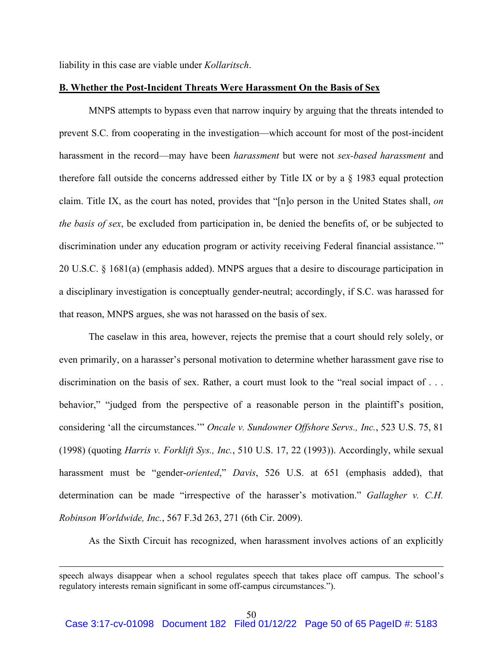liability in this case are viable under *Kollaritsch*.

### **B. Whether the Post-Incident Threats Were Harassment On the Basis of Sex**

MNPS attempts to bypass even that narrow inquiry by arguing that the threats intended to prevent S.C. from cooperating in the investigation—which account for most of the post-incident harassment in the record—may have been *harassment* but were not *sex-based harassment* and therefore fall outside the concerns addressed either by Title IX or by a § 1983 equal protection claim. Title IX, as the court has noted, provides that "[n]o person in the United States shall, *on the basis of sex*, be excluded from participation in, be denied the benefits of, or be subjected to discrimination under any education program or activity receiving Federal financial assistance." 20 U.S.C. § 1681(a) (emphasis added). MNPS argues that a desire to discourage participation in a disciplinary investigation is conceptually gender-neutral; accordingly, if S.C. was harassed for that reason, MNPS argues, she was not harassed on the basis of sex.

The caselaw in this area, however, rejects the premise that a court should rely solely, or even primarily, on a harasser's personal motivation to determine whether harassment gave rise to discrimination on the basis of sex. Rather, a court must look to the "real social impact of . . . behavior," "judged from the perspective of a reasonable person in the plaintiff's position, considering 'all the circumstances.'" *Oncale v. Sundowner Offshore Servs., Inc.*, 523 U.S. 75, 81 (1998) (quoting *Harris v. Forklift Sys., Inc.*, 510 U.S. 17, 22 (1993)). Accordingly, while sexual harassment must be "gender-*oriented*," *Davis*, 526 U.S. at 651 (emphasis added), that determination can be made "irrespective of the harasser's motivation." *Gallagher v. C.H. Robinson Worldwide, Inc.*, 567 F.3d 263, 271 (6th Cir. 2009).

As the Sixth Circuit has recognized, when harassment involves actions of an explicitly

speech always disappear when a school regulates speech that takes place off campus. The school's regulatory interests remain significant in some off-campus circumstances.").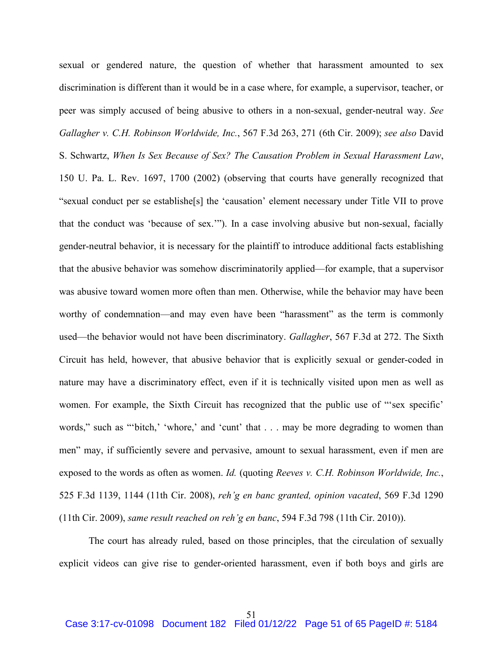sexual or gendered nature, the question of whether that harassment amounted to sex discrimination is different than it would be in a case where, for example, a supervisor, teacher, or peer was simply accused of being abusive to others in a non-sexual, gender-neutral way. *See Gallagher v. C.H. Robinson Worldwide, Inc.*, 567 F.3d 263, 271 (6th Cir. 2009); *see also* David S. Schwartz, *When Is Sex Because of Sex? The Causation Problem in Sexual Harassment Law*, 150 U. Pa. L. Rev. 1697, 1700 (2002) (observing that courts have generally recognized that "sexual conduct per se establishe[s] the 'causation' element necessary under Title VII to prove that the conduct was 'because of sex.'"). In a case involving abusive but non-sexual, facially gender-neutral behavior, it is necessary for the plaintiff to introduce additional facts establishing that the abusive behavior was somehow discriminatorily applied—for example, that a supervisor was abusive toward women more often than men. Otherwise, while the behavior may have been worthy of condemnation—and may even have been "harassment" as the term is commonly used—the behavior would not have been discriminatory. *Gallagher*, 567 F.3d at 272. The Sixth Circuit has held, however, that abusive behavior that is explicitly sexual or gender-coded in nature may have a discriminatory effect, even if it is technically visited upon men as well as women. For example, the Sixth Circuit has recognized that the public use of "'sex specific' words," such as ""bitch," 'whore," and 'cunt' that . . . may be more degrading to women than men" may, if sufficiently severe and pervasive, amount to sexual harassment, even if men are exposed to the words as often as women. *Id.* (quoting *Reeves v. C.H. Robinson Worldwide, Inc.*, 525 F.3d 1139, 1144 (11th Cir. 2008), *reh'g en banc granted, opinion vacated*, 569 F.3d 1290 (11th Cir. 2009), *same result reached on reh'g en banc*, 594 F.3d 798 (11th Cir. 2010)).

The court has already ruled, based on those principles, that the circulation of sexually explicit videos can give rise to gender-oriented harassment, even if both boys and girls are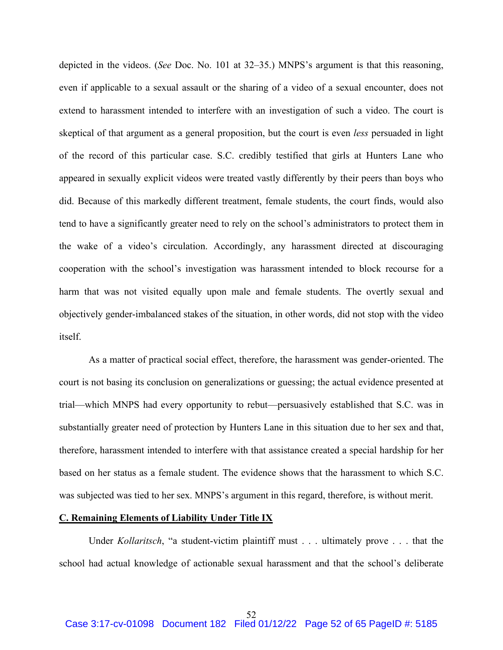depicted in the videos. (*See* Doc. No. 101 at 32–35.) MNPS's argument is that this reasoning, even if applicable to a sexual assault or the sharing of a video of a sexual encounter, does not extend to harassment intended to interfere with an investigation of such a video. The court is skeptical of that argument as a general proposition, but the court is even *less* persuaded in light of the record of this particular case. S.C. credibly testified that girls at Hunters Lane who appeared in sexually explicit videos were treated vastly differently by their peers than boys who did. Because of this markedly different treatment, female students, the court finds, would also tend to have a significantly greater need to rely on the school's administrators to protect them in the wake of a video's circulation. Accordingly, any harassment directed at discouraging cooperation with the school's investigation was harassment intended to block recourse for a harm that was not visited equally upon male and female students. The overtly sexual and objectively gender-imbalanced stakes of the situation, in other words, did not stop with the video itself.

As a matter of practical social effect, therefore, the harassment was gender-oriented. The court is not basing its conclusion on generalizations or guessing; the actual evidence presented at trial—which MNPS had every opportunity to rebut—persuasively established that S.C. was in substantially greater need of protection by Hunters Lane in this situation due to her sex and that, therefore, harassment intended to interfere with that assistance created a special hardship for her based on her status as a female student. The evidence shows that the harassment to which S.C. was subjected was tied to her sex. MNPS's argument in this regard, therefore, is without merit.

## **C. Remaining Elements of Liability Under Title IX**

Under *Kollaritsch*, "a student-victim plaintiff must . . . ultimately prove . . . that the school had actual knowledge of actionable sexual harassment and that the school's deliberate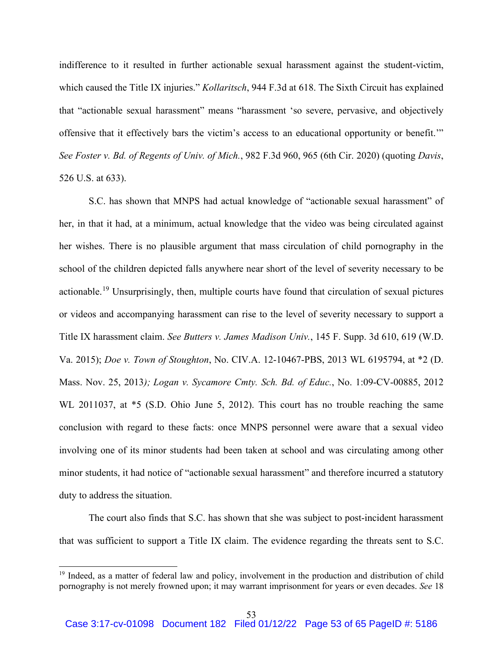indifference to it resulted in further actionable sexual harassment against the student-victim, which caused the Title IX injuries." *Kollaritsch*, 944 F.3d at 618. The Sixth Circuit has explained that "actionable sexual harassment" means "harassment 'so severe, pervasive, and objectively offensive that it effectively bars the victim's access to an educational opportunity or benefit.'" *See Foster v. Bd. of Regents of Univ. of Mich.*, 982 F.3d 960, 965 (6th Cir. 2020) (quoting *Davis*, 526 U.S. at 633).

S.C. has shown that MNPS had actual knowledge of "actionable sexual harassment" of her, in that it had, at a minimum, actual knowledge that the video was being circulated against her wishes. There is no plausible argument that mass circulation of child pornography in the school of the children depicted falls anywhere near short of the level of severity necessary to be actionable.<sup>19</sup> Unsurprisingly, then, multiple courts have found that circulation of sexual pictures or videos and accompanying harassment can rise to the level of severity necessary to support a Title IX harassment claim. *See Butters v. James Madison Univ.*, 145 F. Supp. 3d 610, 619 (W.D. Va. 2015); *Doe v. Town of Stoughton*, No. CIV.A. 12-10467-PBS, 2013 WL 6195794, at \*2 (D. Mass. Nov. 25, 2013*); Logan v. Sycamore Cmty. Sch. Bd. of Educ.*, No. 1:09-CV-00885, 2012 WL 2011037, at \*5 (S.D. Ohio June 5, 2012). This court has no trouble reaching the same conclusion with regard to these facts: once MNPS personnel were aware that a sexual video involving one of its minor students had been taken at school and was circulating among other minor students, it had notice of "actionable sexual harassment" and therefore incurred a statutory duty to address the situation.

The court also finds that S.C. has shown that she was subject to post-incident harassment that was sufficient to support a Title IX claim. The evidence regarding the threats sent to S.C.

<sup>&</sup>lt;sup>19</sup> Indeed, as a matter of federal law and policy, involvement in the production and distribution of child pornography is not merely frowned upon; it may warrant imprisonment for years or even decades. *See* 18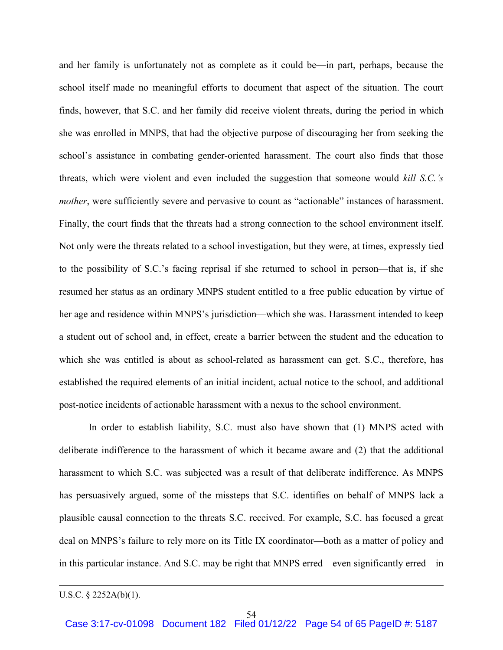and her family is unfortunately not as complete as it could be—in part, perhaps, because the school itself made no meaningful efforts to document that aspect of the situation. The court finds, however, that S.C. and her family did receive violent threats, during the period in which she was enrolled in MNPS, that had the objective purpose of discouraging her from seeking the school's assistance in combating gender-oriented harassment. The court also finds that those threats, which were violent and even included the suggestion that someone would *kill S.C.'s mother*, were sufficiently severe and pervasive to count as "actionable" instances of harassment. Finally, the court finds that the threats had a strong connection to the school environment itself. Not only were the threats related to a school investigation, but they were, at times, expressly tied to the possibility of S.C.'s facing reprisal if she returned to school in person—that is, if she resumed her status as an ordinary MNPS student entitled to a free public education by virtue of her age and residence within MNPS's jurisdiction—which she was. Harassment intended to keep a student out of school and, in effect, create a barrier between the student and the education to which she was entitled is about as school-related as harassment can get. S.C., therefore, has established the required elements of an initial incident, actual notice to the school, and additional post-notice incidents of actionable harassment with a nexus to the school environment.

In order to establish liability, S.C. must also have shown that (1) MNPS acted with deliberate indifference to the harassment of which it became aware and (2) that the additional harassment to which S.C. was subjected was a result of that deliberate indifference. As MNPS has persuasively argued, some of the missteps that S.C. identifies on behalf of MNPS lack a plausible causal connection to the threats S.C. received. For example, S.C. has focused a great deal on MNPS's failure to rely more on its Title IX coordinator—both as a matter of policy and in this particular instance. And S.C. may be right that MNPS erred—even significantly erred—in

U.S.C. § 2252A(b)(1).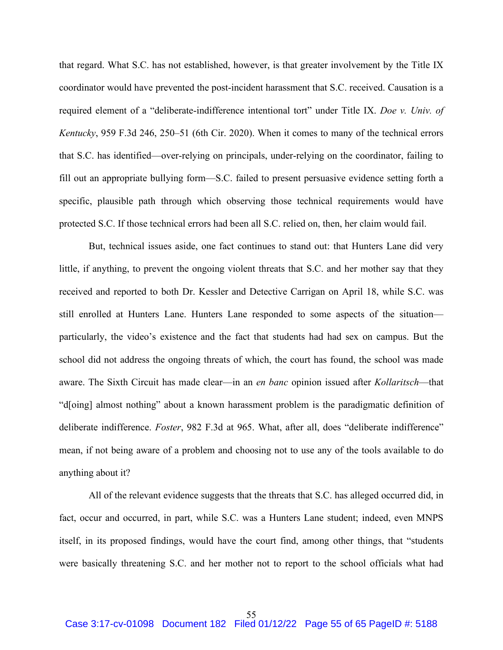that regard. What S.C. has not established, however, is that greater involvement by the Title IX coordinator would have prevented the post-incident harassment that S.C. received. Causation is a required element of a "deliberate-indifference intentional tort" under Title IX. *Doe v. Univ. of Kentucky*, 959 F.3d 246, 250–51 (6th Cir. 2020). When it comes to many of the technical errors that S.C. has identified—over-relying on principals, under-relying on the coordinator, failing to fill out an appropriate bullying form—S.C. failed to present persuasive evidence setting forth a specific, plausible path through which observing those technical requirements would have protected S.C. If those technical errors had been all S.C. relied on, then, her claim would fail.

But, technical issues aside, one fact continues to stand out: that Hunters Lane did very little, if anything, to prevent the ongoing violent threats that S.C. and her mother say that they received and reported to both Dr. Kessler and Detective Carrigan on April 18, while S.C. was still enrolled at Hunters Lane. Hunters Lane responded to some aspects of the situation particularly, the video's existence and the fact that students had had sex on campus. But the school did not address the ongoing threats of which, the court has found, the school was made aware. The Sixth Circuit has made clear—in an *en banc* opinion issued after *Kollaritsch*—that "d[oing] almost nothing" about a known harassment problem is the paradigmatic definition of deliberate indifference. *Foster*, 982 F.3d at 965. What, after all, does "deliberate indifference" mean, if not being aware of a problem and choosing not to use any of the tools available to do anything about it?

All of the relevant evidence suggests that the threats that S.C. has alleged occurred did, in fact, occur and occurred, in part, while S.C. was a Hunters Lane student; indeed, even MNPS itself, in its proposed findings, would have the court find, among other things, that "students were basically threatening S.C. and her mother not to report to the school officials what had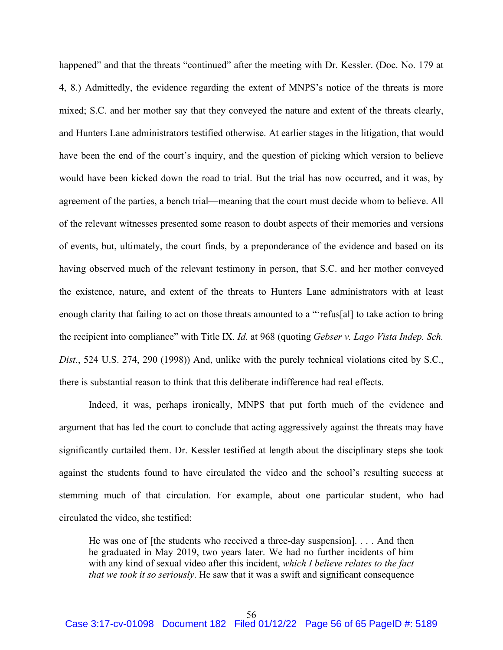happened" and that the threats "continued" after the meeting with Dr. Kessler. (Doc. No. 179 at 4, 8.) Admittedly, the evidence regarding the extent of MNPS's notice of the threats is more mixed; S.C. and her mother say that they conveyed the nature and extent of the threats clearly, and Hunters Lane administrators testified otherwise. At earlier stages in the litigation, that would have been the end of the court's inquiry, and the question of picking which version to believe would have been kicked down the road to trial. But the trial has now occurred, and it was, by agreement of the parties, a bench trial—meaning that the court must decide whom to believe. All of the relevant witnesses presented some reason to doubt aspects of their memories and versions of events, but, ultimately, the court finds, by a preponderance of the evidence and based on its having observed much of the relevant testimony in person, that S.C. and her mother conveyed the existence, nature, and extent of the threats to Hunters Lane administrators with at least enough clarity that failing to act on those threats amounted to a "'refus[al] to take action to bring the recipient into compliance" with Title IX. *Id.* at 968 (quoting *Gebser v. Lago Vista Indep. Sch. Dist.*, 524 U.S. 274, 290 (1998)) And, unlike with the purely technical violations cited by S.C., there is substantial reason to think that this deliberate indifference had real effects.

Indeed, it was, perhaps ironically, MNPS that put forth much of the evidence and argument that has led the court to conclude that acting aggressively against the threats may have significantly curtailed them. Dr. Kessler testified at length about the disciplinary steps she took against the students found to have circulated the video and the school's resulting success at stemming much of that circulation. For example, about one particular student, who had circulated the video, she testified:

He was one of [the students who received a three-day suspension]. . . . And then he graduated in May 2019, two years later. We had no further incidents of him with any kind of sexual video after this incident, *which I believe relates to the fact that we took it so seriously*. He saw that it was a swift and significant consequence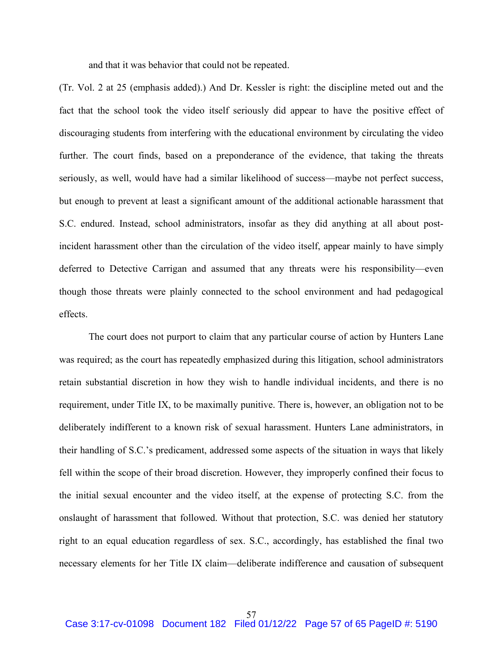and that it was behavior that could not be repeated.

(Tr. Vol. 2 at 25 (emphasis added).) And Dr. Kessler is right: the discipline meted out and the fact that the school took the video itself seriously did appear to have the positive effect of discouraging students from interfering with the educational environment by circulating the video further. The court finds, based on a preponderance of the evidence, that taking the threats seriously, as well, would have had a similar likelihood of success—maybe not perfect success, but enough to prevent at least a significant amount of the additional actionable harassment that S.C. endured. Instead, school administrators, insofar as they did anything at all about postincident harassment other than the circulation of the video itself, appear mainly to have simply deferred to Detective Carrigan and assumed that any threats were his responsibility—even though those threats were plainly connected to the school environment and had pedagogical effects.

The court does not purport to claim that any particular course of action by Hunters Lane was required; as the court has repeatedly emphasized during this litigation, school administrators retain substantial discretion in how they wish to handle individual incidents, and there is no requirement, under Title IX, to be maximally punitive. There is, however, an obligation not to be deliberately indifferent to a known risk of sexual harassment. Hunters Lane administrators, in their handling of S.C.'s predicament, addressed some aspects of the situation in ways that likely fell within the scope of their broad discretion. However, they improperly confined their focus to the initial sexual encounter and the video itself, at the expense of protecting S.C. from the onslaught of harassment that followed. Without that protection, S.C. was denied her statutory right to an equal education regardless of sex. S.C., accordingly, has established the final two necessary elements for her Title IX claim—deliberate indifference and causation of subsequent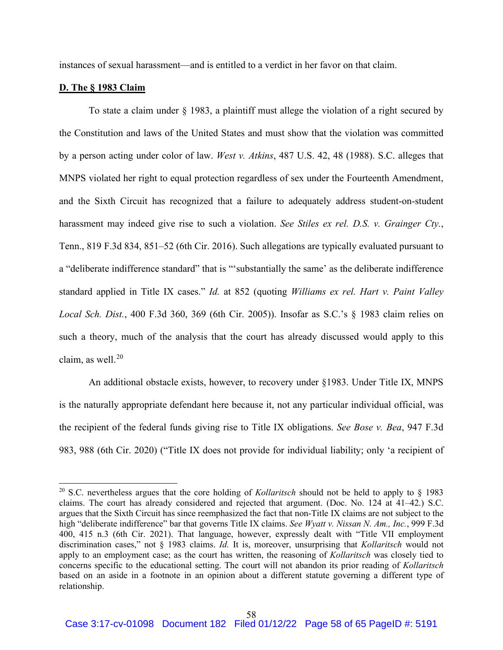instances of sexual harassment—and is entitled to a verdict in her favor on that claim.

# **D. The § 1983 Claim**

To state a claim under § 1983, a plaintiff must allege the violation of a right secured by the Constitution and laws of the United States and must show that the violation was committed by a person acting under color of law. *West v. Atkins*, 487 U.S. 42, 48 (1988). S.C. alleges that MNPS violated her right to equal protection regardless of sex under the Fourteenth Amendment, and the Sixth Circuit has recognized that a failure to adequately address student-on-student harassment may indeed give rise to such a violation. *See Stiles ex rel. D.S. v. Grainger Cty.*, Tenn., 819 F.3d 834, 851–52 (6th Cir. 2016). Such allegations are typically evaluated pursuant to a "deliberate indifference standard" that is "'substantially the same' as the deliberate indifference standard applied in Title IX cases." *Id.* at 852 (quoting *Williams ex rel. Hart v. Paint Valley Local Sch. Dist.*, 400 F.3d 360, 369 (6th Cir. 2005)). Insofar as S.C.'s § 1983 claim relies on such a theory, much of the analysis that the court has already discussed would apply to this claim, as well. $20$ 

An additional obstacle exists, however, to recovery under §1983. Under Title IX, MNPS is the naturally appropriate defendant here because it, not any particular individual official, was the recipient of the federal funds giving rise to Title IX obligations. *See Bose v. Bea*, 947 F.3d 983, 988 (6th Cir. 2020) ("Title IX does not provide for individual liability; only 'a recipient of

<sup>20</sup> S.C. nevertheless argues that the core holding of *Kollaritsch* should not be held to apply to § 1983 claims. The court has already considered and rejected that argument. (Doc. No. 124 at 41–42.) S.C. argues that the Sixth Circuit has since reemphasized the fact that non-Title IX claims are not subject to the high "deliberate indifference" bar that governs Title IX claims. *See Wyatt v. Nissan N. Am., Inc.*, 999 F.3d 400, 415 n.3 (6th Cir. 2021). That language, however, expressly dealt with "Title VII employment discrimination cases," not § 1983 claims. *Id.* It is, moreover, unsurprising that *Kollaritsch* would not apply to an employment case; as the court has written, the reasoning of *Kollaritsch* was closely tied to concerns specific to the educational setting. The court will not abandon its prior reading of *Kollaritsch* based on an aside in a footnote in an opinion about a different statute governing a different type of relationship.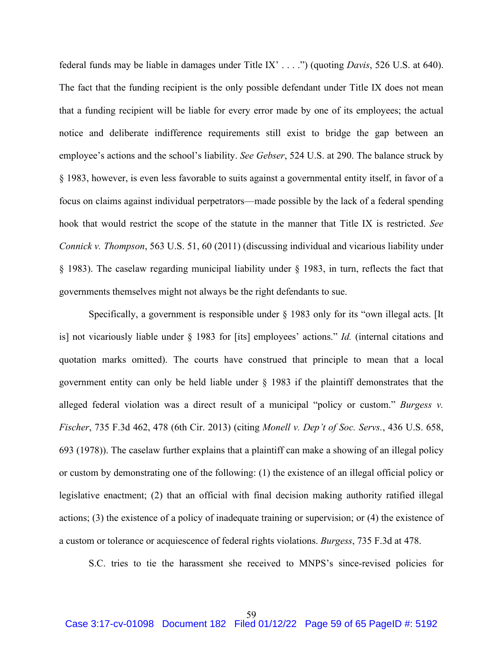federal funds may be liable in damages under Title IX' . . . .") (quoting *Davis*, 526 U.S. at 640). The fact that the funding recipient is the only possible defendant under Title IX does not mean that a funding recipient will be liable for every error made by one of its employees; the actual notice and deliberate indifference requirements still exist to bridge the gap between an employee's actions and the school's liability. *See Gebser*, 524 U.S. at 290. The balance struck by § 1983, however, is even less favorable to suits against a governmental entity itself, in favor of a focus on claims against individual perpetrators—made possible by the lack of a federal spending hook that would restrict the scope of the statute in the manner that Title IX is restricted. *See Connick v. Thompson*, 563 U.S. 51, 60 (2011) (discussing individual and vicarious liability under § 1983). The caselaw regarding municipal liability under § 1983, in turn, reflects the fact that governments themselves might not always be the right defendants to sue.

Specifically, a government is responsible under § 1983 only for its "own illegal acts. [It is] not vicariously liable under § 1983 for [its] employees' actions." *Id.* (internal citations and quotation marks omitted). The courts have construed that principle to mean that a local government entity can only be held liable under  $\S$  1983 if the plaintiff demonstrates that the alleged federal violation was a direct result of a municipal "policy or custom." *Burgess v. Fischer*, 735 F.3d 462, 478 (6th Cir. 2013) (citing *Monell v. Dep't of Soc. Servs.*, 436 U.S. 658, 693 (1978)). The caselaw further explains that a plaintiff can make a showing of an illegal policy or custom by demonstrating one of the following: (1) the existence of an illegal official policy or legislative enactment; (2) that an official with final decision making authority ratified illegal actions; (3) the existence of a policy of inadequate training or supervision; or (4) the existence of a custom or tolerance or acquiescence of federal rights violations. *Burgess*, 735 F.3d at 478.

S.C. tries to tie the harassment she received to MNPS's since-revised policies for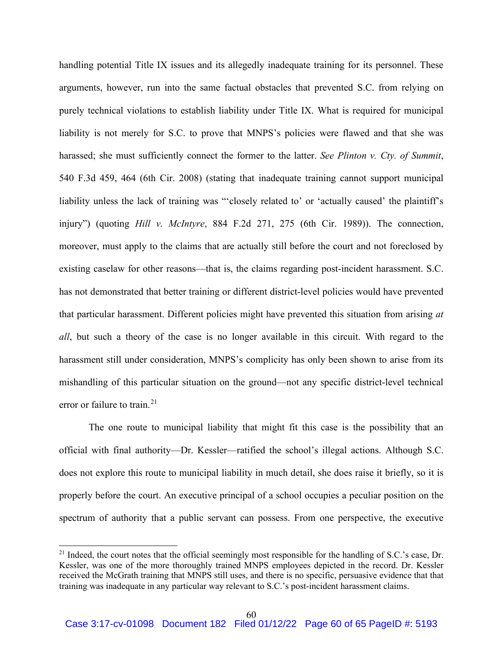handling potential Title IX issues and its allegedly inadequate training for its personnel. These arguments, however, run into the same factual obstacles that prevented S.C. from relying on purely technical violations to establish liability under Title IX. What is required for municipal liability is not merely for S.C. to prove that MNPS's policies were flawed and that she was harassed; she must sufficiently connect the former to the latter. *See Plinton v. Cty. of Summit*, 540 F.3d 459, 464 (6th Cir. 2008) (stating that inadequate training cannot support municipal liability unless the lack of training was "'closely related to' or 'actually caused' the plaintiff's injury") (quoting *Hill v. McIntyre*, 884 F.2d 271, 275 (6th Cir. 1989)). The connection, moreover, must apply to the claims that are actually still before the court and not foreclosed by existing caselaw for other reasons—that is, the claims regarding post-incident harassment. S.C. has not demonstrated that better training or different district-level policies would have prevented that particular harassment. Different policies might have prevented this situation from arising *at all*, but such a theory of the case is no longer available in this circuit. With regard to the harassment still under consideration, MNPS's complicity has only been shown to arise from its mishandling of this particular situation on the ground—not any specific district-level technical error or failure to train.<sup>21</sup>

The one route to municipal liability that might fit this case is the possibility that an official with final authority—Dr. Kessler—ratified the school's illegal actions. Although S.C. does not explore this route to municipal liability in much detail, she does raise it briefly, so it is properly before the court. An executive principal of a school occupies a peculiar position on the spectrum of authority that a public servant can possess. From one perspective, the executive

<sup>&</sup>lt;sup>21</sup> Indeed, the court notes that the official seemingly most responsible for the handling of S.C.'s case, Dr. Kessler, was one of the more thoroughly trained MNPS employees depicted in the record. Dr. Kessler received the McGrath training that MNPS still uses, and there is no specific, persuasive evidence that that training was inadequate in any particular way relevant to S.C.'s post-incident harassment claims.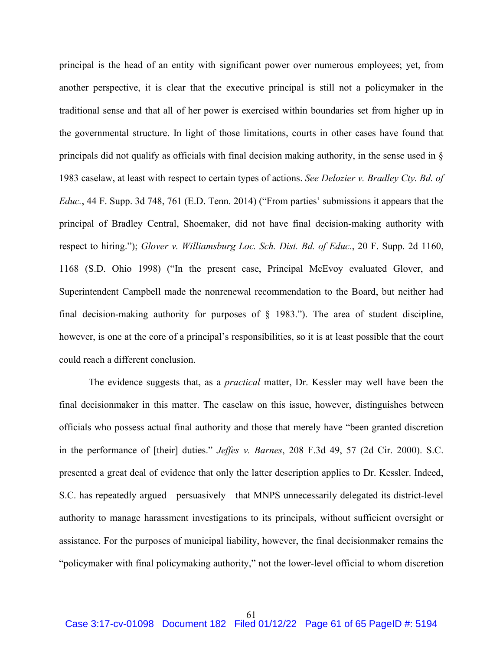principal is the head of an entity with significant power over numerous employees; yet, from another perspective, it is clear that the executive principal is still not a policymaker in the traditional sense and that all of her power is exercised within boundaries set from higher up in the governmental structure. In light of those limitations, courts in other cases have found that principals did not qualify as officials with final decision making authority, in the sense used in § 1983 caselaw, at least with respect to certain types of actions. *See Delozier v. Bradley Cty. Bd. of Educ.*, 44 F. Supp. 3d 748, 761 (E.D. Tenn. 2014) ("From parties' submissions it appears that the principal of Bradley Central, Shoemaker, did not have final decision-making authority with respect to hiring."); *Glover v. Williamsburg Loc. Sch. Dist. Bd. of Educ.*, 20 F. Supp. 2d 1160, 1168 (S.D. Ohio 1998) ("In the present case, Principal McEvoy evaluated Glover, and Superintendent Campbell made the nonrenewal recommendation to the Board, but neither had final decision-making authority for purposes of  $\S$  1983."). The area of student discipline, however, is one at the core of a principal's responsibilities, so it is at least possible that the court could reach a different conclusion.

The evidence suggests that, as a *practical* matter, Dr. Kessler may well have been the final decisionmaker in this matter. The caselaw on this issue, however, distinguishes between officials who possess actual final authority and those that merely have "been granted discretion in the performance of [their] duties." *Jeffes v. Barnes*, 208 F.3d 49, 57 (2d Cir. 2000). S.C. presented a great deal of evidence that only the latter description applies to Dr. Kessler. Indeed, S.C. has repeatedly argued—persuasively—that MNPS unnecessarily delegated its district-level authority to manage harassment investigations to its principals, without sufficient oversight or assistance. For the purposes of municipal liability, however, the final decisionmaker remains the "policymaker with final policymaking authority," not the lower-level official to whom discretion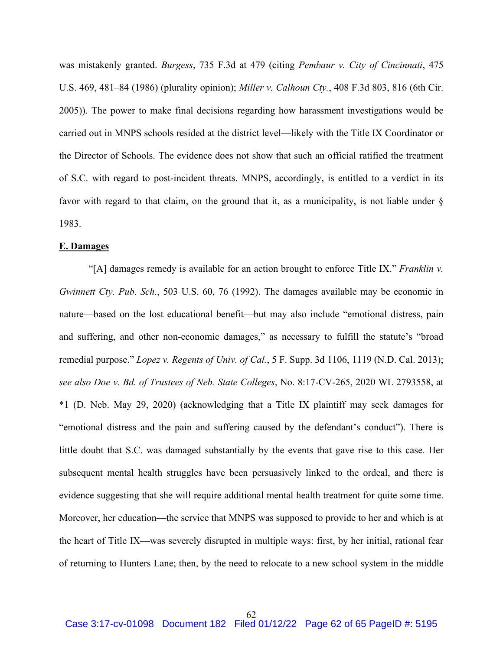was mistakenly granted. *Burgess*, 735 F.3d at 479 (citing *Pembaur v. City of Cincinnati*, 475 U.S. 469, 481–84 (1986) (plurality opinion); *Miller v. Calhoun Cty.*, 408 F.3d 803, 816 (6th Cir. 2005)). The power to make final decisions regarding how harassment investigations would be carried out in MNPS schools resided at the district level—likely with the Title IX Coordinator or the Director of Schools. The evidence does not show that such an official ratified the treatment of S.C. with regard to post-incident threats. MNPS, accordingly, is entitled to a verdict in its favor with regard to that claim, on the ground that it, as a municipality, is not liable under § 1983.

### **E. Damages**

"[A] damages remedy is available for an action brought to enforce Title IX." *Franklin v. Gwinnett Cty. Pub. Sch.*, 503 U.S. 60, 76 (1992). The damages available may be economic in nature—based on the lost educational benefit—but may also include "emotional distress, pain and suffering, and other non-economic damages," as necessary to fulfill the statute's "broad remedial purpose." *Lopez v. Regents of Univ. of Cal.*, 5 F. Supp. 3d 1106, 1119 (N.D. Cal. 2013); *see also Doe v. Bd. of Trustees of Neb. State Colleges*, No. 8:17-CV-265, 2020 WL 2793558, at \*1 (D. Neb. May 29, 2020) (acknowledging that a Title IX plaintiff may seek damages for "emotional distress and the pain and suffering caused by the defendant's conduct"). There is little doubt that S.C. was damaged substantially by the events that gave rise to this case. Her subsequent mental health struggles have been persuasively linked to the ordeal, and there is evidence suggesting that she will require additional mental health treatment for quite some time. Moreover, her education—the service that MNPS was supposed to provide to her and which is at the heart of Title IX—was severely disrupted in multiple ways: first, by her initial, rational fear of returning to Hunters Lane; then, by the need to relocate to a new school system in the middle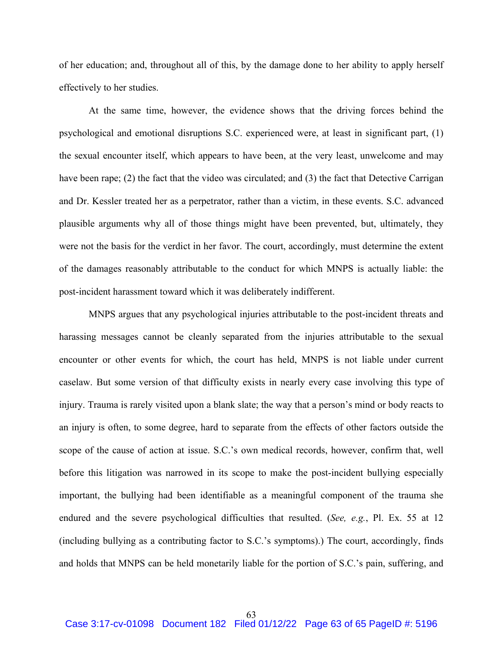of her education; and, throughout all of this, by the damage done to her ability to apply herself effectively to her studies.

At the same time, however, the evidence shows that the driving forces behind the psychological and emotional disruptions S.C. experienced were, at least in significant part, (1) the sexual encounter itself, which appears to have been, at the very least, unwelcome and may have been rape; (2) the fact that the video was circulated; and (3) the fact that Detective Carrigan and Dr. Kessler treated her as a perpetrator, rather than a victim, in these events. S.C. advanced plausible arguments why all of those things might have been prevented, but, ultimately, they were not the basis for the verdict in her favor. The court, accordingly, must determine the extent of the damages reasonably attributable to the conduct for which MNPS is actually liable: the post-incident harassment toward which it was deliberately indifferent.

MNPS argues that any psychological injuries attributable to the post-incident threats and harassing messages cannot be cleanly separated from the injuries attributable to the sexual encounter or other events for which, the court has held, MNPS is not liable under current caselaw. But some version of that difficulty exists in nearly every case involving this type of injury. Trauma is rarely visited upon a blank slate; the way that a person's mind or body reacts to an injury is often, to some degree, hard to separate from the effects of other factors outside the scope of the cause of action at issue. S.C.'s own medical records, however, confirm that, well before this litigation was narrowed in its scope to make the post-incident bullying especially important, the bullying had been identifiable as a meaningful component of the trauma she endured and the severe psychological difficulties that resulted. (*See, e.g.*, Pl. Ex. 55 at 12 (including bullying as a contributing factor to S.C.'s symptoms).) The court, accordingly, finds and holds that MNPS can be held monetarily liable for the portion of S.C.'s pain, suffering, and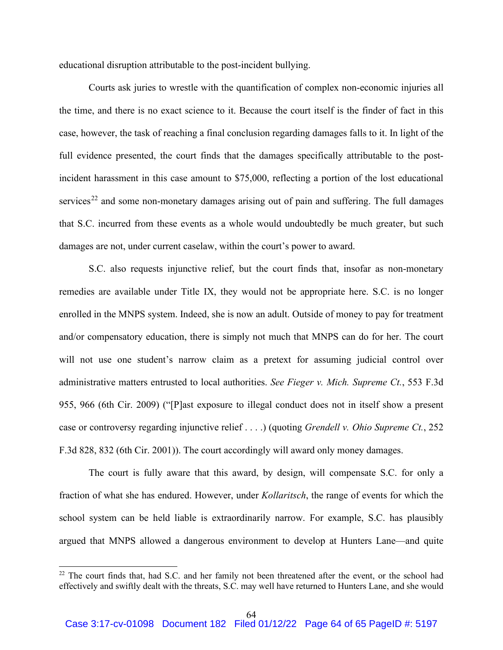educational disruption attributable to the post-incident bullying.

Courts ask juries to wrestle with the quantification of complex non-economic injuries all the time, and there is no exact science to it. Because the court itself is the finder of fact in this case, however, the task of reaching a final conclusion regarding damages falls to it. In light of the full evidence presented, the court finds that the damages specifically attributable to the postincident harassment in this case amount to \$75,000, reflecting a portion of the lost educational services<sup>22</sup> and some non-monetary damages arising out of pain and suffering. The full damages that S.C. incurred from these events as a whole would undoubtedly be much greater, but such damages are not, under current caselaw, within the court's power to award.

S.C. also requests injunctive relief, but the court finds that, insofar as non-monetary remedies are available under Title IX, they would not be appropriate here. S.C. is no longer enrolled in the MNPS system. Indeed, she is now an adult. Outside of money to pay for treatment and/or compensatory education, there is simply not much that MNPS can do for her. The court will not use one student's narrow claim as a pretext for assuming judicial control over administrative matters entrusted to local authorities. *See Fieger v. Mich. Supreme Ct.*, 553 F.3d 955, 966 (6th Cir. 2009) ("[P]ast exposure to illegal conduct does not in itself show a present case or controversy regarding injunctive relief . . . .) (quoting *Grendell v. Ohio Supreme Ct.*, 252 F.3d 828, 832 (6th Cir. 2001)). The court accordingly will award only money damages.

The court is fully aware that this award, by design, will compensate S.C. for only a fraction of what she has endured. However, under *Kollaritsch*, the range of events for which the school system can be held liable is extraordinarily narrow. For example, S.C. has plausibly argued that MNPS allowed a dangerous environment to develop at Hunters Lane—and quite

<sup>&</sup>lt;sup>22</sup> The court finds that, had S.C. and her family not been threatened after the event, or the school had effectively and swiftly dealt with the threats, S.C. may well have returned to Hunters Lane, and she would